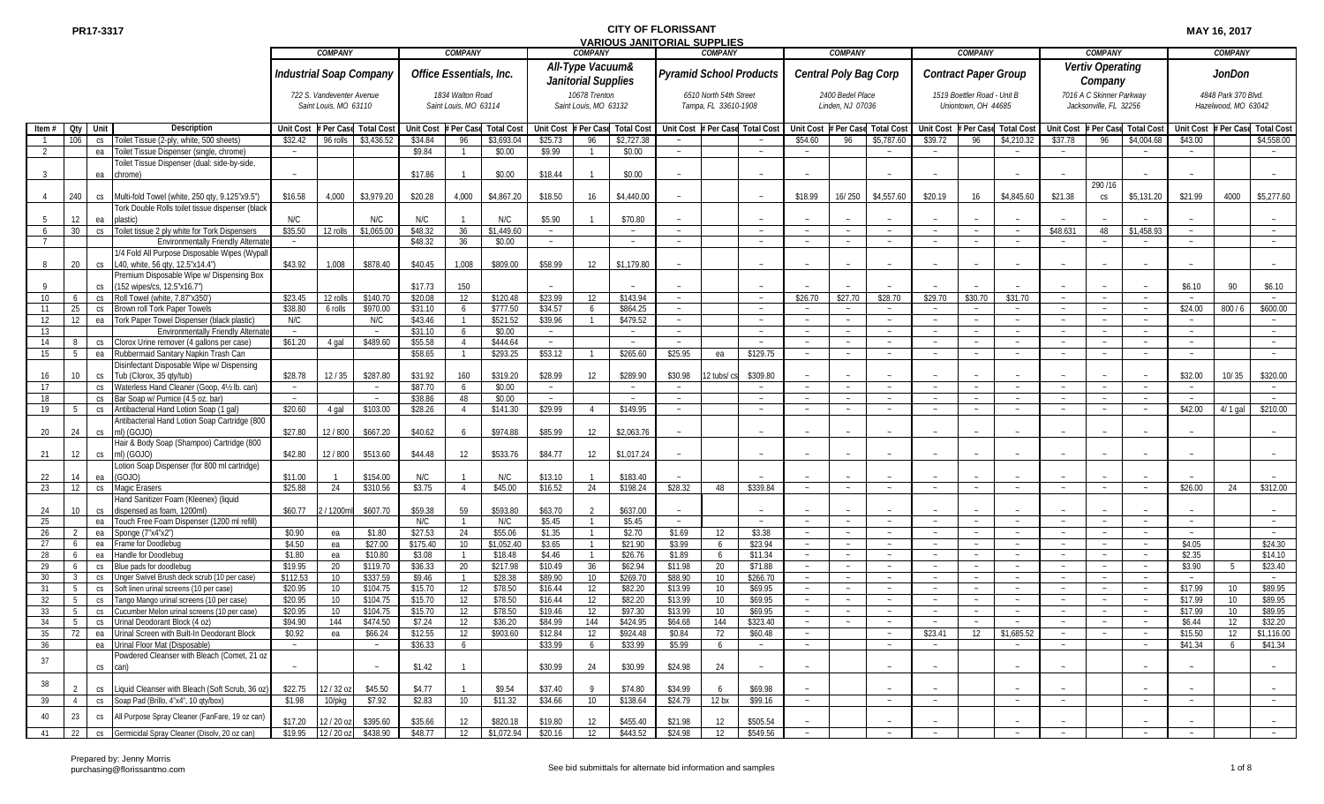|                 |                 |           |                                                    |                  |                           |                                |                  |                         |                  |                     |                       | הואס שהואו סוגות שטו ויום של הוא |                  |                        |                                |                  |                  |                       |                             |                             |            |                  |                          |                  |               |                     |                   |
|-----------------|-----------------|-----------|----------------------------------------------------|------------------|---------------------------|--------------------------------|------------------|-------------------------|------------------|---------------------|-----------------------|----------------------------------|------------------|------------------------|--------------------------------|------------------|------------------|-----------------------|-----------------------------|-----------------------------|------------|------------------|--------------------------|------------------|---------------|---------------------|-------------------|
|                 |                 |           |                                                    |                  | COMPANY                   |                                |                  | COMPANY                 |                  |                     | <b>COMPANY</b>        |                                  |                  | <b>COMPANY</b>         |                                |                  | <b>COMPANY</b>   |                       |                             | COMPANY                     |            |                  | <b>COMPANY</b>           |                  |               | <b>COMPANY</b>      |                   |
|                 |                 |           |                                                    |                  |                           |                                |                  |                         |                  |                     | All-Type Vacuum&      |                                  |                  |                        |                                |                  |                  |                       |                             |                             |            |                  | Vertiv Operating         |                  |               |                     |                   |
|                 |                 |           |                                                    |                  |                           | <b>Industrial Soap Company</b> |                  | Office Essentials, Inc. |                  |                     |                       |                                  |                  |                        | <b>Pyramid School Products</b> |                  |                  | Central Poly Bag Corp | <b>Contract Paper Group</b> |                             |            |                  |                          |                  |               | <b>JonDon</b>       |                   |
|                 |                 |           |                                                    |                  |                           |                                |                  |                         |                  |                     | Janitorial Supplies   |                                  |                  |                        |                                |                  |                  |                       |                             |                             |            |                  | Company                  |                  |               |                     |                   |
|                 |                 |           |                                                    |                  |                           |                                |                  |                         |                  |                     | 10678 Trenton         |                                  |                  |                        |                                |                  |                  |                       |                             |                             |            |                  |                          |                  |               |                     |                   |
|                 |                 |           |                                                    |                  | 722 S. Vandeventer Avenue |                                |                  | 1834 Walton Road        |                  |                     |                       |                                  |                  | 6510 North 54th Street |                                |                  | 2400 Bedel Place |                       |                             | 1519 Boettler Road - Unit B |            |                  | 7016 A C Skinner Parkway |                  |               | 4848 Park 370 Blvd  |                   |
|                 |                 |           |                                                    |                  | Saint Louis, MO 63110     |                                |                  | Saint Louis, MO 63114   |                  |                     | Saint Louis, MO 63132 |                                  |                  | Tampa, FL 33610-1908   |                                |                  | Linden, NJ 07036 |                       |                             | Uniontown, OH 44685         |            |                  | Jacksonville, FL 32256   |                  |               | Hazelwood, MO 63042 |                   |
|                 |                 |           |                                                    |                  |                           |                                |                  |                         |                  |                     |                       |                                  |                  |                        |                                |                  |                  |                       |                             |                             |            |                  |                          |                  |               |                     |                   |
| Item $#$        | Oty             | Unit      | <b>Description</b>                                 | <b>Unit Cost</b> | Per Cas                   | Total Co:                      | <b>Unit Cost</b> | Per Ca                  | <b>Total Cos</b> | <b>Unit Cost</b>    | Per Cas               | <b>Total Cost</b>                | <b>Unit Cost</b> | Per Case               | <b>Total Cost</b>              | <b>Unit Cost</b> | <b>Per Ca</b>    | <b>Total Cost</b>     | <b>Unit Cost</b>            | # Per Case                  | Total Co:  | <b>Unit Cost</b> | Per Cas                  | <b>Total Cos</b> | Unit Cost     | # Per Cas           | <b>Total Cost</b> |
|                 | 106             |           | Toilet Tissue (2-ply, white, 500 sheets)           | \$32.42          | 96 rolls                  | \$3,436.52                     | \$34.84          | 96                      | \$3,693.04       | \$25.73             |                       |                                  |                  |                        |                                | \$54.60          | 96               | \$5,787.60            | \$39.72                     |                             | \$4,210.3  | \$37.78          | 96                       | \$4,004.68       | \$43.00       |                     | \$4,558.00        |
|                 |                 | CS        |                                                    |                  |                           |                                |                  |                         |                  |                     | 96                    | \$2,727.38                       |                  |                        |                                |                  |                  |                       |                             | 96                          |            |                  |                          |                  |               |                     |                   |
|                 |                 | ea        | Foilet Tissue Dispenser (single, chrome)           | $\sim$           |                           |                                | \$9.84           |                         | \$0.00           | \$9.99              | $\overline{1}$        | \$0.00                           |                  |                        | $\sim$                         | $\sim$           |                  |                       | $\sim$                      |                             |            | $\sim$           |                          |                  | $\sim$ $-$    |                     | $\sim$            |
|                 |                 |           | Toilet Tissue Dispenser (dual: side-by-side,       |                  |                           |                                |                  |                         |                  |                     |                       |                                  |                  |                        |                                |                  |                  |                       |                             |                             |            |                  |                          |                  |               |                     |                   |
|                 |                 | ea        | chrome)                                            |                  |                           |                                | \$17.86          |                         | \$0.00           | \$18.44             |                       | \$0.00                           |                  |                        |                                |                  |                  |                       |                             |                             |            |                  |                          |                  |               |                     |                   |
|                 |                 |           |                                                    |                  |                           |                                |                  |                         |                  |                     |                       |                                  |                  |                        |                                |                  |                  |                       |                             |                             |            |                  | 290 / 16                 |                  |               |                     |                   |
|                 | 240             |           |                                                    |                  | 4,000                     | \$3,979.20                     | \$20.28          | 4,000                   | \$4,867.20       | \$18.50             | 16                    | \$4,440.00                       |                  |                        | $\sim$                         | \$18.99          | 16/250           | \$4,557.60            | \$20.19                     | 16                          | \$4,845.60 | \$21.38          | CS                       | \$5,131.20       | \$21.99       | 4000                | \$5,277.60        |
|                 |                 | CS        | Multi-fold Towel (white, 250 qty, 9.125"x9.5")     | \$16.58          |                           |                                |                  |                         |                  |                     |                       |                                  |                  |                        |                                |                  |                  |                       |                             |                             |            |                  |                          |                  |               |                     |                   |
|                 |                 |           | Tork Double Rolls toilet tissue dispenser (black   |                  |                           |                                |                  |                         |                  |                     |                       |                                  |                  |                        |                                |                  |                  |                       |                             |                             |            |                  |                          |                  |               |                     |                   |
|                 | 12              | ea        | plastic)                                           | N/C              |                           | N/C                            | N/C              |                         | N/C              | \$5.90              |                       | \$70.80                          |                  |                        |                                |                  |                  |                       |                             |                             |            |                  |                          |                  |               |                     |                   |
|                 | 30 <sup>°</sup> |           | cs Toilet tissue 2 ply white for Tork Dispensers   | \$35.50          | 12 rolls                  | \$1,065.00                     | \$48.32          | 36                      | \$1,449.60       | $\sim$              |                       | $\sim$                           | $\sim$           |                        | $\sim$                         | $\sim$           | $\sim$           | $\sim$                | $\sim$                      | $\sim$                      | $\sim$     | \$48.631         | 48                       | \$1,458.93       | $\sim$        |                     | $\sim$            |
|                 |                 |           | <b>Environmentally Friendly Alternat</b>           | $\sim$           |                           |                                | \$48.32          | 36                      | \$0.00           | $\sim$              |                       |                                  |                  |                        | $\sim$                         |                  | $\sim$           | $\sim$                | $\sim$                      |                             | $\sim$     | $\sim$           |                          |                  | $\sim$        |                     | $\sim$            |
|                 |                 |           |                                                    |                  |                           |                                |                  |                         |                  |                     |                       |                                  |                  |                        |                                |                  |                  |                       |                             |                             |            |                  |                          |                  |               |                     |                   |
|                 |                 |           | 1/4 Fold All Purpose Disposable Wipes (Wypal       |                  |                           |                                |                  |                         |                  |                     |                       |                                  |                  |                        |                                |                  |                  |                       |                             |                             |            |                  |                          |                  |               |                     |                   |
|                 | 20              | CS        | L40, white, 56 gty, 12.5"x14.4")                   | \$43.92          | 1,008                     | \$878.40                       | \$40.45          | 1,008                   | \$809.00         | \$58.99             | 12                    | \$1,179.80                       |                  |                        |                                |                  |                  |                       |                             |                             |            |                  |                          |                  |               |                     |                   |
|                 |                 |           | Premium Disposable Wipe w/ Dispensing Box          |                  |                           |                                |                  |                         |                  |                     |                       |                                  |                  |                        |                                |                  |                  |                       |                             |                             |            |                  |                          |                  |               |                     |                   |
|                 |                 |           | (152 wipes/cs, 12.5"x16.7")                        |                  |                           |                                | \$17.73          | 150                     |                  |                     |                       |                                  |                  |                        |                                |                  |                  |                       |                             |                             |            |                  |                          |                  | \$6.10        | 90                  | \$6.10            |
| 10 <sup>°</sup> | 6               |           | cs Roll Towel (white, 7.87"x350")                  | \$23.45          | 12 rolls                  | \$140.70                       | \$20.08          | 12                      | \$120.48         | \$23.99             | 12                    | \$143.94                         | $\sim$           |                        | $\sim$                         | \$26.70          | \$27.70          | \$28.70               | \$29.70                     | \$30.70                     | \$31.70    | $\sim$           |                          |                  | $\sim$        |                     | $\sim$ $\sim$     |
|                 |                 |           |                                                    |                  |                           |                                |                  |                         |                  |                     |                       |                                  |                  |                        |                                |                  |                  |                       |                             |                             |            |                  |                          |                  |               |                     |                   |
| 11              | 25              |           | cs Brown roll Tork Paper Towels                    | \$38.80          | 6 rolls                   | \$970.00                       | \$31.10          |                         | \$777.50         | \$34.57             | 6                     | \$864.25                         |                  |                        | $\sim$                         |                  | $\sim$           | $\sim$                | $\sim$                      | $\sim$                      | $\sim$     | $\sim$           |                          | $\sim$           | \$24.00       | 800/6               | \$600.00          |
| 12              | 12              | ea        | Tork Paper Towel Dispenser (black plastic)         | N/C              |                           | N/C                            | \$43.46          |                         | \$521.52         | \$39.96             |                       | \$479.52                         | $\sim$           |                        | $\sim$                         |                  | $\sim$           |                       |                             |                             | $\sim$     |                  |                          |                  | $\sim$        |                     | $\sim$            |
| 13              |                 |           | <b>Environmentally Friendly Alternat</b>           |                  |                           |                                | \$31.10          |                         | \$0.00           | $\sim$              |                       |                                  |                  |                        | $\sim$                         |                  | $\sim$           |                       |                             |                             | $\sim$     |                  |                          | $\sim$           | $\sim$        |                     | $\sim$            |
| 14              |                 | CS        | Clorox Urine remover (4 gallons per case)          | \$61.20          | 4 gal                     | \$489.60                       | \$55.58          |                         | \$444.64         |                     |                       |                                  |                  |                        |                                |                  |                  |                       |                             |                             |            |                  |                          |                  |               |                     |                   |
| 15              | -5              | ea        | Rubbermaid Sanitary Napkin Trash Can               |                  |                           |                                | \$58.65          |                         | \$293.25         | \$53.12             |                       | \$265.60                         | \$25.95          | ea                     | \$129.75                       |                  | $\sim$           |                       |                             |                             | $\sim$     | $\sim$           |                          | $\sim$           | $\sim$        |                     |                   |
|                 |                 |           |                                                    |                  |                           |                                |                  |                         |                  |                     |                       |                                  |                  |                        |                                |                  |                  |                       |                             |                             |            |                  |                          |                  |               |                     |                   |
|                 |                 |           | Disinfectant Disposable Wipe w/ Dispensing         |                  |                           |                                |                  |                         |                  |                     |                       |                                  |                  |                        |                                |                  |                  |                       |                             |                             |            |                  |                          |                  |               |                     |                   |
| 16              | 10              | CS        | Tub (Clorox, 35 qty/tub)                           | \$28.78          | 12/35                     | \$287.80                       | \$31.92          | 160                     | \$319.20         | \$28.99             | 12                    | \$289.90                         | \$30.98          | 12 tubs/ cs            | \$309.80                       |                  |                  |                       |                             |                             |            |                  |                          |                  | \$32.00       | 10/35               | \$320.00          |
| 17              |                 |           | cs Waterless Hand Cleaner (Goop, 41/2 lb, can)     | $\sim$           |                           | $\sim$                         | \$87.70          |                         | \$0.00           | $\sim$              |                       | $\sim$                           | $\sim$           |                        | $\sim$                         | $\sim$           | $\sim$           |                       | $\sim$                      |                             | $\sim$     | $\sim$           |                          | $\sim$           | $\sim$        |                     | $\sim$            |
| 18              |                 |           | cs Bar Soap w/ Pumice (4.5 oz. bar)                |                  |                           | $\sim$                         | \$38.86          | 48                      | \$0.00           | $\sim$              |                       |                                  |                  |                        | $\sim$                         |                  |                  |                       |                             |                             | $\sim$     |                  |                          |                  |               |                     | $\sim$            |
| 19              |                 | CS        | Antibacterial Hand Lotion Soap (1 gal)             | \$20.60          | 4 gal                     | \$103.00                       | \$28.26          |                         | \$141.30         | \$29.99             |                       | \$149.95                         |                  |                        | $\sim$                         |                  |                  |                       |                             |                             |            |                  |                          |                  | \$42.00       | $4/1$ gal           | \$210.00          |
|                 |                 |           |                                                    |                  |                           |                                |                  |                         |                  |                     |                       |                                  |                  |                        |                                |                  |                  |                       |                             |                             |            |                  |                          |                  |               |                     |                   |
|                 |                 |           | Antibacterial Hand Lotion Soap Cartridge (800      |                  |                           |                                |                  |                         |                  |                     |                       |                                  |                  |                        |                                |                  |                  |                       |                             |                             |            |                  |                          |                  |               |                     |                   |
| 20              | 24              | <b>CS</b> | ml) (GOJO)                                         | \$27.80          | 12/800                    | \$667.20                       | \$40.62          |                         | \$974.88         | \$85.99             | 12                    | \$2,063.76                       |                  |                        |                                |                  |                  |                       |                             |                             |            |                  |                          |                  |               |                     |                   |
|                 |                 |           | Hair & Body Soap (Shampoo) Cartridge (800          |                  |                           |                                |                  |                         |                  |                     |                       |                                  |                  |                        |                                |                  |                  |                       |                             |                             |            |                  |                          |                  |               |                     |                   |
| 21              | 12              | CS        | ml) (GOJO)                                         | \$42.80          | 12 / 800                  | \$513.60                       | \$44.48          | 12                      | \$533.76         | \$84.77             | 12                    | \$1,017.24                       |                  |                        |                                |                  |                  |                       |                             |                             |            |                  |                          |                  |               |                     |                   |
|                 |                 |           |                                                    |                  |                           |                                |                  |                         |                  |                     |                       |                                  |                  |                        |                                |                  |                  |                       |                             |                             |            |                  |                          |                  |               |                     |                   |
|                 |                 |           | Lotion Soap Dispenser (for 800 ml cartridge)       |                  |                           |                                |                  |                         |                  |                     |                       |                                  |                  |                        |                                |                  |                  |                       |                             |                             |            |                  |                          |                  |               |                     |                   |
| 22              | 14              | ea        | (GOJO)                                             | \$11.00          |                           | \$154.00                       | N/C              |                         | N/C              | \$13.10             |                       | \$183.40                         |                  |                        |                                |                  |                  |                       |                             |                             |            |                  |                          |                  |               |                     |                   |
| 23              | 12              | CS        | <b>Magic Erasers</b>                               | \$25.88          | 24                        | \$310.56                       | \$3.75           | $\overline{4}$          | \$45.00          | \$16.52             | 24                    | \$198.24                         | \$28.32          | 48                     | \$339.84                       |                  | $\sim$           |                       |                             |                             |            |                  |                          |                  | \$26.00       | 24                  | \$312.00          |
|                 |                 |           | Hand Sanitizer Foam (Kleenex) (liquid              |                  |                           |                                |                  |                         |                  |                     |                       |                                  |                  |                        |                                |                  |                  |                       |                             |                             |            |                  |                          |                  |               |                     |                   |
| 24              | 10 <sup>°</sup> | CS        | dispensed as foam, 1200ml)                         | \$60.77          | /1200m                    | \$607.70                       | \$59.38          | 59                      | \$593.80         | \$63.70             |                       | \$637.00                         |                  |                        |                                |                  |                  |                       |                             |                             |            |                  |                          |                  |               |                     |                   |
| 25              |                 |           | ea Touch Free Foam Dispenser (1200 ml refill)      |                  |                           |                                | N/C              |                         | N/C              | \$5.45              |                       | \$5.45                           | $\sim$           |                        | $\sim$                         | $\sim$           | $\sim$           | $\sim$                | $\sim$                      | $\sim$                      | $\sim$     | $\sim$           | $\sim$                   | $\sim$           | $\sim$        |                     | $\sim$            |
|                 |                 |           |                                                    |                  |                           |                                |                  |                         |                  |                     |                       |                                  |                  |                        |                                |                  |                  |                       |                             |                             |            |                  |                          |                  |               |                     |                   |
| 26              |                 |           | ea Sponge (7"x4"x2")                               | \$0.90           | ea                        | \$1.80                         | \$27.53          | 24                      | \$55.06          | \$1.35              |                       | \$2.70                           | \$1.69           | 12                     | \$3.38                         | $\sim$           | $\sim$           |                       | $\sim$                      |                             | $\sim$     | $\sim$           |                          | $\sim$           | $\sim$        |                     | $\sim$            |
| 27              | 6               |           | ea Frame for Doodlebug                             | \$4.50           | ea                        | \$27.00                        | \$175.40         | 10                      | \$1,052.40       | \$3.65              |                       | \$21.90                          | \$3.99           |                        | \$23.94                        |                  |                  |                       |                             |                             | $\sim$     |                  |                          | $\sim$           | \$4.05        |                     | \$24.30           |
| 28              | 6               |           | ea Handle for Doodlebug                            | \$1.80           | ea                        | \$10.80                        | \$3.08           |                         | \$18.48          | \$4.46              | $\overline{1}$        | \$26.76                          | \$1.89           | 6                      | \$11.34                        |                  |                  |                       |                             |                             | $\sim$     |                  |                          |                  | \$2.35        |                     | \$14.10           |
| 29              | 6               | CS        | Blue pads for doodlebuc                            | \$19.95          | 20                        | \$119.70                       | \$36.33          | 20                      | \$217.98         | \$10.49             | 36                    | \$62.94                          | \$11.98          | 20                     | \$71.88                        |                  |                  |                       |                             |                             | $\sim$     | $\sim$           |                          |                  | \$3.90        |                     | \$23.40           |
| 30              | -3              | CS        | Unger Swivel Brush deck scrub (10 per case)        | \$112.53         | 10 <sup>°</sup>           | \$337.59                       | \$9.46           |                         | \$28.38          | \$89.90             | 10                    | \$269.70                         | \$88.90          | 10                     | \$266.70                       | $\sim$           | $\sim$           | $\sim$                | $\sim$                      |                             | $\sim$     | $\sim$           |                          |                  | $\sim$        |                     | $\sim$            |
|                 |                 |           |                                                    |                  |                           |                                |                  |                         |                  |                     |                       |                                  |                  |                        |                                |                  |                  |                       |                             |                             |            |                  |                          |                  |               |                     | \$89.95           |
| 31              | - 5             | CS        | Soft linen urinal screens (10 per case)            | \$20.95          | 10                        | \$104.75                       | \$15.70          | 12                      | \$78.50          | \$16.44             | 12                    | \$82.20                          | \$13.99          | 10                     | \$69.95                        | $\sim$           |                  | $\sim$                | $\sim$                      |                             | $\sim$     | $\sim$           |                          |                  | \$17.99       | 10                  |                   |
| 32              |                 | CS        | Fango Mango urinal screens (10 per case)           | \$20.95          | 10 <sup>1</sup>           | \$104.75                       | \$15.70          | 12                      | \$78.50          | \$16.44             | 12                    | \$82.20                          | \$13.99          | 10 <sup>°</sup>        | \$69.95                        |                  |                  |                       |                             |                             | $\sim$     |                  |                          |                  | \$17.99       | 10 <sup>°</sup>     | \$89.95           |
| 33              |                 | CS        | Cucumber Melon urinal screens (10 per case)        | \$20.95          | 10 <sup>°</sup>           | \$104.75                       | \$15.70          | 12                      | \$78.50          | \$19.46             | 12                    | \$97.30                          | \$13.99          | 10                     | \$69.95                        |                  |                  |                       |                             |                             |            |                  |                          |                  | \$17.99       | 10 <sup>°</sup>     | \$89.95           |
| 34              | -5              |           | cs Urinal Deodorant Block (4 oz)                   | \$94.90          | 144                       | \$474.50                       | \$7.24           | 12                      | \$36.20          | \$84.99             | 144                   | \$424.95                         | \$64.68          | 144                    | \$323.40                       |                  |                  |                       |                             |                             |            |                  |                          |                  | \$6.44        | 12                  | \$32.20           |
| 35              |                 |           | 72 ea Urinal Screen with Built-In Deodorant Block  | \$0.92           | ea                        | \$66.24                        | \$12.55          | 12                      | \$903.60         | \$12.84             | 12                    | \$924.48                         | \$0.84           | 72                     | \$60.48                        |                  |                  |                       | \$23.41                     | 12                          | \$1,685.52 |                  |                          |                  | \$15.50       | 12                  | \$1,116.00        |
|                 |                 |           |                                                    |                  |                           |                                |                  |                         |                  |                     |                       |                                  |                  |                        |                                |                  |                  |                       |                             |                             |            |                  |                          |                  |               |                     |                   |
| 36              |                 |           | ea Urinal Floor Mat (Disposable)                   |                  |                           |                                | \$36.33          | 6                       |                  | \$33.99             | 6                     | \$33.99                          | \$5.99           | 6                      | $\sim$                         |                  |                  |                       |                             |                             |            |                  |                          |                  | \$41.34       | 6                   | \$41.34           |
| 37              |                 |           | Powdered Cleanser with Bleach (Comet, 21 oz        |                  |                           |                                |                  |                         |                  |                     |                       |                                  |                  |                        |                                |                  |                  |                       |                             |                             |            |                  |                          |                  |               |                     |                   |
|                 |                 |           | cs can)                                            |                  |                           | $\sim$                         | \$1.42           |                         |                  | \$30.99             | 24                    | \$30.99                          | \$24.98          | 24                     | $\sim$                         |                  |                  |                       |                             |                             | $\sim$     |                  |                          |                  |               |                     | $\sim$ $-$        |
|                 |                 |           |                                                    |                  |                           |                                |                  |                         |                  |                     |                       |                                  |                  |                        |                                |                  |                  |                       |                             |                             |            |                  |                          |                  |               |                     |                   |
| 38              |                 |           | cs Liquid Cleanser with Bleach (Soft Scrub, 36 oz) | \$22.75          | 12/32 oz                  | \$45.50                        | \$4.77           |                         | \$9.54           | \$37.40             | 9                     | \$74.80                          | \$34.99          |                        | \$69.98                        |                  |                  |                       |                             |                             | $\sim$     |                  |                          |                  |               |                     |                   |
|                 |                 |           |                                                    |                  |                           |                                |                  |                         |                  |                     |                       |                                  |                  |                        |                                |                  |                  |                       |                             |                             |            |                  |                          |                  |               |                     |                   |
| 39              | 4               |           | cs Soap Pad (Brillo, 4"x4", 10 qty/box)            | \$1.98           | 10/pkg                    | \$7.92                         | \$2.83           | 10                      | \$11.32          | \$34.66             | 10                    | \$138.64                         | \$24.79          | 12 bx                  | \$99.16                        | $\sim$           |                  | $\sim$                | $\sim$                      |                             | $\sim$     | $\sim$           |                          | $\sim$           | $\sim$        |                     | $\sim$ $-$        |
| 40              | 23              |           | cs All Purpose Spray Cleaner (FanFare, 19 oz can)  |                  |                           |                                |                  |                         |                  |                     |                       |                                  |                  |                        |                                |                  |                  |                       |                             |                             |            |                  |                          |                  |               |                     |                   |
|                 |                 |           |                                                    |                  | \$17.20 12 / 20 oz        | \$395.60                       | \$35.66          | 12                      | \$820.18         | \$19.80             | 12                    | \$455.40                         | \$21.98          | 12                     | \$505.54                       |                  |                  |                       |                             |                             |            |                  |                          |                  |               |                     |                   |
| 41              |                 |           | 22 cs Germicidal Spray Cleaner (Disolv, 20 oz can) |                  |                           | $$19.95$ $12/20$ oz $$438.90$  | \$48.77          | 12                      |                  | $$1,072.94$ \$20.16 | 12                    | \$443.52                         | \$24.98          | 12                     | \$549.56                       | $\sim$           |                  | $\sim$                | $\sim$                      |                             | $\sim$     |                  |                          |                  | $\sim$ $\sim$ |                     |                   |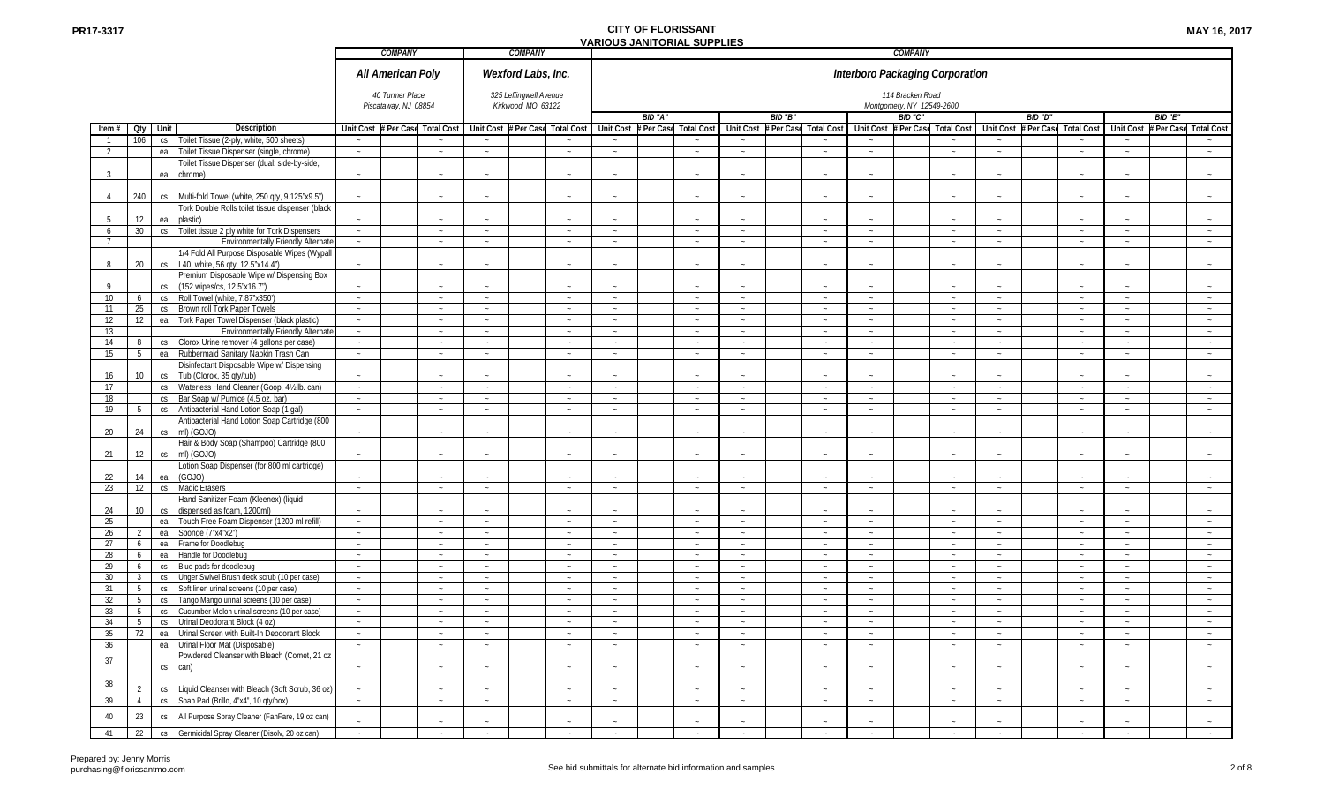|                |                 |      |                                                                          |                  | COMPANY                                 |                  | <b>COMPANY</b>                               |                   |                  |         |                                 |                  |          |                   |                  | COMPANY                                       |                                 |                  |          |                   |                  |                                      |
|----------------|-----------------|------|--------------------------------------------------------------------------|------------------|-----------------------------------------|------------------|----------------------------------------------|-------------------|------------------|---------|---------------------------------|------------------|----------|-------------------|------------------|-----------------------------------------------|---------------------------------|------------------|----------|-------------------|------------------|--------------------------------------|
|                |                 |      |                                                                          |                  | All American Poly                       |                  | Wexford Labs, Inc.                           |                   |                  |         |                                 |                  |          |                   |                  |                                               | Interboro Packaging Corporation |                  |          |                   |                  |                                      |
|                |                 |      |                                                                          |                  | 40 Turmer Place<br>Piscataway, NJ 08854 |                  | 325 Leffingwell Avenue<br>Kirkwood, MO 63122 |                   |                  |         |                                 |                  |          |                   |                  | 114 Bracken Road<br>Montgomery, NY 12549-2600 |                                 |                  |          |                   |                  |                                      |
|                |                 |      |                                                                          |                  |                                         |                  |                                              |                   |                  | BID "A" |                                 |                  | BID "B"  |                   |                  | BID "C"                                       |                                 |                  | BID "D"  |                   |                  | BID "E"                              |
| Item#          | Qty             | Unit | <b>Description</b>                                                       |                  | Unit Cost # Per Case Total Cost         |                  | Unit Cost # Per Case                         | <b>Total Cost</b> |                  |         | Unit Cost # Per Case Total Cost | <b>Unit Cost</b> | Per Case | <b>Total Cost</b> | <b>Unit Cost</b> | # Per Case                                    | <b>Total Cost</b>               | <b>Unit Cost</b> | Per Case | <b>Total Cost</b> | <b>Unit Cost</b> | <b>Per Case</b><br><b>Total Cost</b> |
|                | 106             | CS   | Toilet Tissue (2-ply, white, 500 sheets)                                 |                  |                                         | $\sim$           |                                              |                   |                  |         |                                 |                  |          |                   |                  |                                               |                                 |                  |          |                   |                  |                                      |
| $\mathcal{L}$  |                 | ea   | Toilet Tissue Dispenser (single, chrome)                                 | $\sim$           | $\sim$                                  | $\sim$           |                                              | $\sim$            | $\sim$           |         | $\sim$                          | $\sim$           |          | $\sim$            | $\sim$           |                                               | $\sim$                          | $\sim$           |          | $\sim$            | $\sim$           | $\sim$                               |
|                |                 |      | Toilet Tissue Dispenser (dual: side-by-side,                             |                  |                                         |                  |                                              |                   |                  |         |                                 |                  |          |                   |                  |                                               |                                 |                  |          |                   |                  |                                      |
| 3              |                 | ea   | chrome)                                                                  |                  | $\sim$                                  | ц.               |                                              |                   |                  |         |                                 |                  |          |                   |                  |                                               |                                 |                  |          |                   |                  |                                      |
|                |                 |      |                                                                          |                  |                                         |                  |                                              |                   |                  |         |                                 |                  |          |                   |                  |                                               |                                 |                  |          |                   |                  |                                      |
| 4              | 240             |      | cs Multi-fold Towel (white, 250 qty, 9.125"x9.5")                        |                  |                                         |                  |                                              |                   |                  |         |                                 |                  |          |                   |                  |                                               |                                 |                  |          |                   |                  |                                      |
|                |                 |      | Tork Double Rolls toilet tissue dispenser (black                         |                  |                                         |                  |                                              |                   |                  |         |                                 |                  |          |                   |                  |                                               |                                 |                  |          |                   |                  |                                      |
|                | 12              | ea   | plastic)                                                                 |                  |                                         |                  |                                              |                   |                  |         |                                 |                  |          |                   |                  |                                               |                                 |                  |          |                   |                  |                                      |
| 6              | 30 <sup>°</sup> | CS   | Toilet tissue 2 ply white for Tork Dispensers                            | $\sim$           | $\sim$                                  | $\sim$           |                                              | $\sim$            | $\sim$           |         | $\sim$                          | $\sim$           |          | $\sim$            | $\sim$           |                                               | $\sim$                          | $\sim$           |          | $\sim$            | $\sim$           | $\sim$                               |
| $\overline{7}$ |                 |      | <b>Environmentally Friendly Alternat</b>                                 | $\sim$           | $\sim$                                  | $\sim$           |                                              | $\sim$            | $\sim$           |         | $\sim$                          | $\sim$           |          | $\sim$            | $\sim$           |                                               | $\sim$                          | $\sim$           |          | $\sim$            | $\sim$           | $\sim$                               |
|                |                 |      | 1/4 Fold All Purpose Disposable Wipes (Wypall                            |                  |                                         |                  |                                              |                   |                  |         |                                 |                  |          |                   |                  |                                               |                                 |                  |          |                   |                  |                                      |
| 8              | 20              | CS   | L40, white, 56 gty, 12.5"x14.4")                                         |                  |                                         |                  |                                              |                   |                  |         |                                 |                  |          |                   |                  |                                               |                                 |                  |          |                   |                  |                                      |
|                |                 |      | Premium Disposable Wipe w/ Dispensing Box                                |                  |                                         |                  |                                              |                   |                  |         |                                 |                  |          |                   |                  |                                               |                                 |                  |          |                   |                  |                                      |
| $\mathsf{Q}$   |                 | CS   | (152 wipes/cs, 12.5"x16.7")                                              |                  | $\sim$                                  | ц.               |                                              |                   |                  |         |                                 |                  |          |                   |                  |                                               |                                 |                  |          |                   |                  |                                      |
| 10             | 6               |      | cs Roll Towel (white, 7.87"x350")                                        | $\sim$           | $\sim$                                  | $\sim$           |                                              | $\sim$            | $\sim$           |         | $\sim$                          | $\sim$           |          | $\sim$            | $\sim$           |                                               | $\sim$                          | $\sim$           |          | $\sim$            | $\sim$           | $\sim$                               |
| 11             | 25              |      | cs Brown roll Tork Paper Towels                                          | $\sim$           | $\sim$                                  | $\sim$           |                                              | $\sim$            | $\sim$           |         | $\sim$                          | $\sim$           |          | $\sim$            | $\sim$           |                                               | $\sim$                          | $\sim$           |          | $\sim$            | $\sim$           | $\sim$                               |
| 12             | 12              | ea   | Tork Paper Towel Dispenser (black plastic)                               | $\sim$           | $\sim$                                  | $\sim$           |                                              | $\sim$            | $\sim$           |         | $\sim$                          | $\sim$           |          | $\sim$            | $\sim$           |                                               | $\sim$                          | $\sim$           |          | $\sim$            | $\sim$           | $\sim$                               |
| 13             |                 |      | <b>Environmentally Friendly Alternat</b>                                 | $\sim$           | $\sim$                                  | $\sim$           |                                              | $\sim$            | $\sim$           |         | $\sim$                          | $\sim$           |          | $\sim$            | $\sim$           |                                               | $\sim$                          | $\sim$           |          | $\sim$            | $\sim$           | $\sim$                               |
| 14             | 8               | CS   | Clorox Urine remover (4 gallons per case)                                | $\sim$           | $\sim$                                  | $\sim$           |                                              |                   |                  |         | $\sim$                          | $\sim$           |          | $\sim$            | $\sim$           |                                               | $\sim$                          | $\sim$           |          | $\sim$            | $\sim$           | $\sim$                               |
| 15             | 5               | ea   | Rubbermaid Sanitary Napkin Trash Can                                     | $\sim$           | $\sim$                                  | $\sim$           |                                              | $\sim$            | $\sim$           |         | $\sim$                          | $\sim$           |          | $\sim$            | $\sim$           |                                               | $\sim$                          | $\sim$           |          | $\sim$            | $\sim$           | $\sim$                               |
|                |                 |      | Disinfectant Disposable Wipe w/ Dispensing                               |                  |                                         |                  |                                              |                   |                  |         |                                 |                  |          |                   |                  |                                               |                                 |                  |          |                   |                  |                                      |
| 16             | 10 <sup>1</sup> |      |                                                                          |                  | $\sim$                                  | $\sim$           |                                              |                   |                  |         |                                 |                  |          |                   |                  |                                               |                                 |                  |          |                   |                  |                                      |
|                |                 | CS   | Tub (Clorox, 35 qty/tub)<br>cs Waterless Hand Cleaner (Goop, 4½ lb. can) | $\sim$           | $\sim$                                  | $\sim$           |                                              | $\sim$            | $\sim$           |         | $\sim$                          | $\sim$           |          | $\sim$            | $\sim$           |                                               | $\sim$                          | $\sim$           |          | $\sim$            | $\sim$           | $\sim$                               |
| 17<br>18       |                 |      | cs Bar Soap w/ Pumice (4.5 oz. bar)                                      |                  |                                         |                  |                                              |                   |                  |         |                                 |                  |          |                   |                  |                                               |                                 |                  |          |                   |                  |                                      |
| 19             |                 |      |                                                                          | $\sim$           | $\sim$                                  | $\sim$           |                                              | $\sim$<br>$\sim$  | $\sim$<br>$\sim$ |         | $\sim$<br>$\sim$                | $\sim$<br>$\sim$ |          | $\sim$<br>$\sim$  | $\sim$<br>$\sim$ |                                               | $\sim$<br>$\sim$                | $\sim$<br>$\sim$ |          | $\sim$<br>$\sim$  | $\sim$<br>$\sim$ | $\sim$<br>$\sim$                     |
|                | 5               | CS   | Antibacterial Hand Lotion Soap (1 gal                                    | $\sim$           | $\sim$                                  | $\sim$           |                                              |                   |                  |         |                                 |                  |          |                   |                  |                                               |                                 |                  |          |                   |                  |                                      |
|                |                 |      | Antibacterial Hand Lotion Soap Cartridge (800                            |                  |                                         |                  |                                              |                   |                  |         |                                 |                  |          |                   |                  |                                               |                                 |                  |          |                   |                  |                                      |
| 20             | 24              | CS   | ml) (GOJO)                                                               |                  |                                         |                  |                                              |                   |                  |         |                                 |                  |          |                   |                  |                                               |                                 |                  |          |                   |                  |                                      |
|                | 12              |      | Hair & Body Soap (Shampoo) Cartridge (800                                |                  |                                         |                  |                                              |                   |                  |         |                                 |                  |          |                   |                  |                                               |                                 |                  |          |                   |                  |                                      |
| 21             |                 | CS   | ml) (GOJO)                                                               |                  |                                         | $\sim$           |                                              |                   |                  |         |                                 |                  |          |                   |                  |                                               |                                 |                  |          |                   |                  |                                      |
|                |                 |      | Lotion Soap Dispenser (for 800 ml cartridge)                             |                  |                                         |                  |                                              |                   |                  |         |                                 |                  |          |                   |                  |                                               |                                 |                  |          |                   |                  |                                      |
| 22             | 14              | ea   | (GOJO)                                                                   |                  |                                         |                  |                                              |                   | $\sim$           |         |                                 |                  |          |                   |                  |                                               |                                 |                  |          |                   |                  | $\sim$                               |
| 23             | 12              | CS   | Magic Erasers                                                            | $\sim$           | $\sim$                                  | $\sim$           |                                              | $\sim$            |                  |         | $\sim$                          | $\sim$           |          | $\sim$            | $\sim$           |                                               | $\sim$                          | $\sim$           |          | $\sim$            | $\sim$           |                                      |
|                |                 |      | Hand Sanitizer Foam (Kleenex) (liquid                                    |                  |                                         |                  |                                              |                   |                  |         |                                 |                  |          |                   |                  |                                               |                                 |                  |          |                   |                  |                                      |
| 24             | 10              | CS   | dispensed as foam, 1200ml)                                               |                  |                                         |                  |                                              | $\sim$            | n.               |         | $\sim$                          | $\sim$           |          |                   |                  |                                               | $\sim$                          | $\sim$           |          | $\sim$            |                  |                                      |
| 25             |                 | ea   | Touch Free Foam Dispenser (1200 ml refill)                               | $\sim$           | $\sim$                                  | $\sim$           |                                              |                   |                  |         |                                 |                  |          | $\sim$            | $\sim$           |                                               |                                 |                  |          |                   | $\sim$           | $\sim$                               |
| 26             |                 | ea   | Sponge (7"x4"x2")                                                        | $\sim$<br>$\sim$ | $\sim$<br>$\sim$                        | $\sim$<br>$\sim$ |                                              | $\sim$<br>$\sim$  | $\sim$           |         | $\sim$                          | $\sim$<br>$\sim$ |          | $\sim$            | $\sim$<br>$\sim$ |                                               | $\sim$                          | $\sim$<br>$\sim$ |          | $\sim$<br>$\sim$  | $\sim$           | $\sim$                               |
| 27             | 6               | ea   | Frame for Doodlebug                                                      |                  |                                         |                  |                                              |                   | $\sim$           |         | $\sim$                          |                  |          | $\sim$            |                  |                                               | $\sim$                          |                  |          |                   | $\sim$           | $\sim$                               |
| 28             | 6               |      | ea Handle for Doodlebug                                                  | $\sim$           | $\sim$                                  | $\sim$           |                                              |                   |                  |         | $\sim$                          | $\sim$           |          | $\sim$            | $\sim$           |                                               | $\sim$                          | $\sim$           |          | $\sim$            | $\sim$           | $\sim$                               |
| 29             | 6               | CS   | Blue pads for doodlebug                                                  | $\sim$           | $\sim$                                  | $\sim$           |                                              | $\sim$            | $\sim$           |         | $\sim$                          | $\sim$           |          | $\sim$            | $\sim$           |                                               | $\sim$                          | $\sim$           |          | $\sim$            | $\sim$           | $\sim$                               |
| 30             | $\mathbf{3}$    | CS   | Unger Swivel Brush deck scrub (10 per case)                              | $\sim$           | $\sim$                                  | $\sim$           |                                              | $\sim$            | $\sim$           |         | $\sim$                          | $\sim$           |          | $\sim$            | $\sim$           |                                               | $\sim$                          | $\sim$           |          | $\sim$            | $\sim$           | $\sim$                               |
| 31             | -5              | CS   | Soft linen urinal screens (10 per case)                                  | $\sim$           | $\sim$                                  | $\sim$           |                                              | $\sim$            | $\sim$           |         | $\sim$                          | $\sim$           |          | $\sim$            | $\sim$           |                                               | $\sim$                          | $\sim$           |          | $\sim$            | $\sim$           | $\sim$                               |
| 32             | 5               | CS   | Tango Mango urinal screens (10 per case)                                 | $\sim$           | $\sim$                                  | $\sim$           |                                              |                   |                  |         |                                 |                  |          |                   |                  |                                               |                                 |                  |          |                   |                  |                                      |
| 33             | 5               | CS   | Cucumber Melon urinal screens (10 per case)                              | $\sim$           | $\sim$                                  | $\sim$           |                                              | $\sim$            | $\sim$           |         | $\sim$                          | $\sim$           |          | $\sim$            | $\sim$           |                                               | $\sim$                          | $\sim$           |          | $\sim$            | $\sim$           | $\sim$                               |
| 34             | 5               | CS   | Urinal Deodorant Block (4 oz)                                            | $\sim$           | $\sim$                                  | $\sim$           |                                              | $\sim$            | $\sim$           |         | $\sim$                          | $\sim$           |          | $\sim$            | $\sim$           |                                               | $\sim$                          | $\sim$           |          | $\sim$            | $\sim$           | $\sim$                               |
| 35             | 72              |      | ea Urinal Screen with Built-In Deodorant Block                           | $\sim$           | $\sim$                                  | $\sim$           |                                              | $\sim$            |                  |         | $\sim$                          | $\sim$           |          | $\sim$            | $\sim$           |                                               | $\sim$                          |                  |          | $\sim$            | $\sim$           | $\sim$                               |
| 36             |                 |      | ea Urinal Floor Mat (Disposable)                                         | $\sim$           | $\sim$                                  | $\sim$           |                                              | $\sim$            | $\sim$           |         | $\sim$                          | $\sim$           |          | $\sim$            | $\sim$           |                                               | $\sim$                          | $\sim$           |          | $\sim$            | $\sim$           | $\sim$                               |
| 37             |                 |      | Powdered Cleanser with Bleach (Comet, 21 oz                              |                  |                                         |                  |                                              |                   |                  |         |                                 |                  |          |                   |                  |                                               |                                 |                  |          |                   |                  |                                      |
|                |                 | CS   | can)                                                                     |                  |                                         |                  |                                              |                   |                  |         |                                 |                  |          |                   |                  |                                               |                                 |                  |          |                   |                  |                                      |
| 38             |                 |      |                                                                          |                  |                                         |                  |                                              |                   |                  |         |                                 |                  |          |                   |                  |                                               |                                 |                  |          |                   |                  |                                      |
|                |                 | CS   | Liquid Cleanser with Bleach (Soft Scrub, 36 oz)                          |                  | $\sim$                                  | $\sim$           |                                              |                   |                  |         |                                 |                  |          |                   |                  |                                               |                                 |                  |          |                   |                  |                                      |
| 39             | $\overline{4}$  | CS   | Soap Pad (Brillo, 4"x4", 10 qty/box)                                     | $\sim$           | $\sim$                                  | $\sim$           |                                              | $\sim$            | $\sim$           |         | $\sim$                          | $\sim$           |          | $\sim$            | $\sim$           |                                               | $\sim$                          | $\sim$           |          | $\sim$            | $\sim$           | $\sim$                               |
| $40\,$         | 23              | CS   | All Purpose Spray Cleaner (FanFare, 19 oz can)                           |                  |                                         |                  |                                              |                   |                  |         |                                 |                  |          |                   |                  |                                               |                                 |                  |          |                   |                  |                                      |
|                |                 |      |                                                                          |                  |                                         |                  |                                              |                   |                  |         |                                 |                  |          |                   |                  |                                               |                                 |                  |          |                   |                  |                                      |
| 41             | 22              |      | cs Germicidal Spray Cleaner (Disolv, 20 oz can)                          |                  | $\sim$                                  | $\sim$           |                                              |                   |                  |         | $\sim$                          | $\sim$           |          |                   |                  |                                               |                                 | $\sim$           |          |                   |                  |                                      |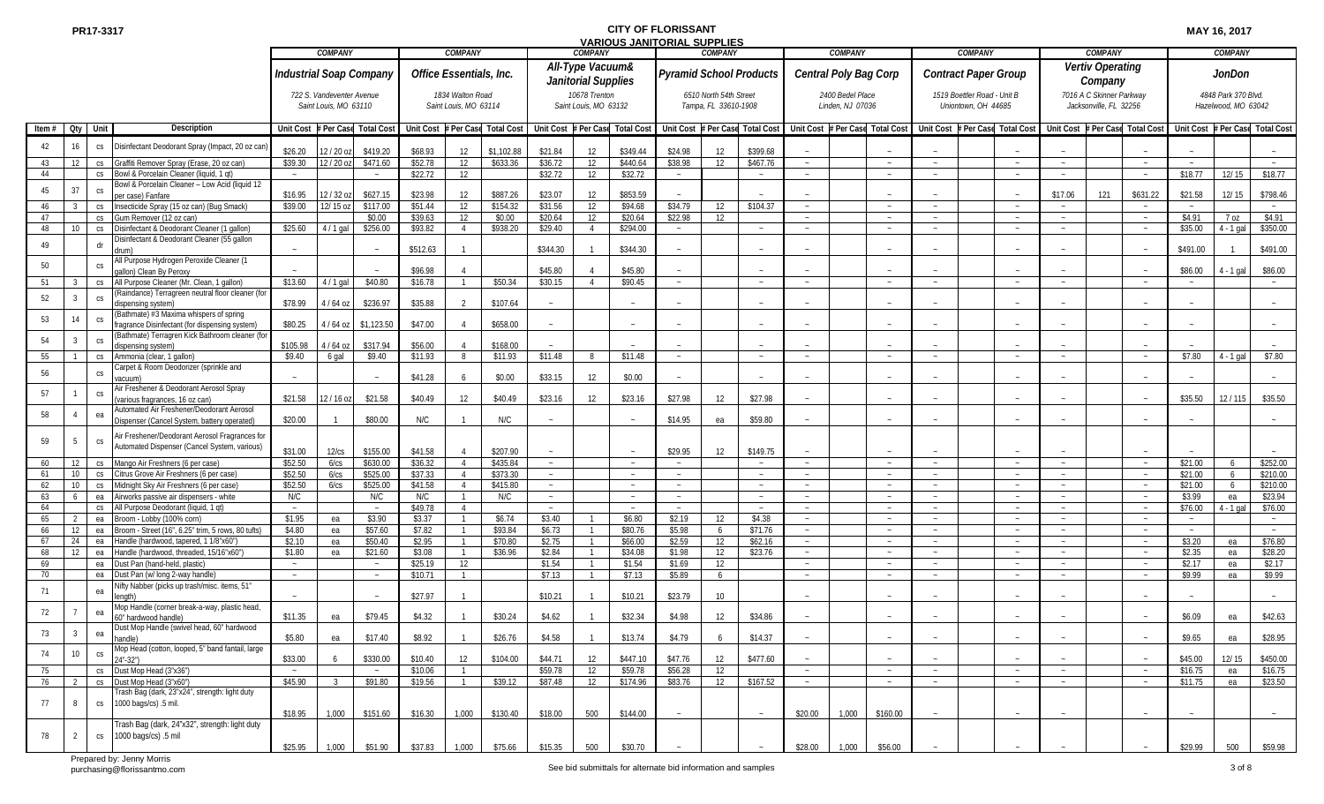|                   |                       |                 |                                                                                           |                      | COMPANY                                            |                      |                                 | <b>COMPANY</b>                            |                      |                                                | <b>COMPANY</b>                         |                                 |                  | COMPANY                                        |                                 |                       | COMPANY                              |                             | COMPANY                                            |                                 |                             | <b>COMPANY</b>                                     |                                 |                                 | <b>COMPANY</b>                             |                      |
|-------------------|-----------------------|-----------------|-------------------------------------------------------------------------------------------|----------------------|----------------------------------------------------|----------------------|---------------------------------|-------------------------------------------|----------------------|------------------------------------------------|----------------------------------------|---------------------------------|------------------|------------------------------------------------|---------------------------------|-----------------------|--------------------------------------|-----------------------------|----------------------------------------------------|---------------------------------|-----------------------------|----------------------------------------------------|---------------------------------|---------------------------------|--------------------------------------------|----------------------|
|                   |                       |                 | <b>Industrial Soap Company</b>                                                            |                      |                                                    |                      | Office Essentials, Inc.         |                                           |                      | All-Type Vacuum&<br><b>Janitorial Supplies</b> |                                        | <b>Pyramid School Products</b>  |                  |                                                |                                 | Central Poly Bag Corp |                                      | <b>Contract Paper Group</b> |                                                    |                                 | Vertiv Operating<br>Company |                                                    |                                 | <b>JonDon</b>                   |                                            |                      |
|                   |                       |                 |                                                                                           |                      | 722 S. Vandeventer Avenue<br>Saint Louis, MO 63110 |                      |                                 | 1834 Walton Road<br>Saint Louis, MO 63114 |                      |                                                | 10678 Trenton<br>Saint Louis, MO 63132 |                                 |                  | 6510 North 54th Street<br>Tampa, FL 33610-1908 |                                 |                       | 2400 Bedel Place<br>Linden, NJ 07036 |                             | 1519 Boettler Road - Unit B<br>Uniontown, OH 44685 |                                 |                             | 7016 A C Skinner Parkway<br>Jacksonville, FL 32256 |                                 |                                 | 4848 Park 370 Blvd.<br>Hazelwood, MO 63042 |                      |
| Item $#$ Oty Unit |                       |                 | <b>Description</b>                                                                        | Unit Cost # Per Case |                                                    | <b>Total Cost</b>    | Unit Cost # Per Case Total Cost |                                           |                      |                                                |                                        | Unit Cost # Per Case Total Cost |                  |                                                | Unit Cost # Per Case Total Cost |                       | Unit Cost # Per Case Total Cost      |                             |                                                    | Unit Cost # Per Case Total Cost |                             |                                                    | Unit Cost # Per Case Total Cost | Unit Cost # Per Case Total Cost |                                            |                      |
| 42                | 16                    | CS              | Disinfectant Deodorant Spray (Impact, 20 oz can                                           | \$26.20              | 12/20 oz                                           | \$419.20             | \$68.93                         | 12                                        | \$1,102.88           | \$21.84                                        | 12                                     | \$349.44                        | \$24.98          | 12                                             | \$399.68                        |                       |                                      |                             |                                                    |                                 |                             |                                                    |                                 |                                 |                                            |                      |
| 43                | 12                    | CS              | Graffiti Remover Spray (Erase, 20 oz can)                                                 | \$39.30              | 12 / 20 oz                                         | \$471.60             | \$52.78                         | 12                                        | \$633.36             | \$36.72                                        | 12                                     | \$440.64                        | \$38.98          | 12                                             | \$467.76                        |                       |                                      | $\sim$                      |                                                    | $\sim$                          | $\sim$                      |                                                    |                                 |                                 |                                            |                      |
| 44                |                       | CS              | Bowl & Porcelain Cleaner (liquid, 1 qt)                                                   |                      |                                                    | $\sim$               | \$22.72                         | 12                                        |                      | \$32.72                                        | 12                                     | \$32.72                         | $\sim$           |                                                | $\sim$                          |                       | $\sim$                               | $\sim$                      |                                                    |                                 |                             |                                                    |                                 | \$18.77                         | 12/15                                      | \$18.77              |
| 45                | 37                    | CS              | Bowl & Porcelain Cleaner - Low Acid (liquid 12<br>per case) Fanfare                       | \$16.95              | 12/32 oz                                           | \$627.15             | \$23.98                         | 12                                        | \$887.26             | \$23.07                                        | 12                                     | \$853.59                        |                  |                                                |                                 |                       |                                      |                             |                                                    |                                 | \$17.06                     | 121                                                | \$631.22                        | \$21.58                         | 12/15                                      | \$798.46             |
| 46                |                       | CS              | Insecticide Spray (15 oz can) (Bug Smack)                                                 | \$39.00              | 12/15 oz                                           | \$117.00             | \$51.44                         | 12                                        | \$154.32             | \$31.56                                        | 12                                     | \$94.68                         | \$34.79          | 12                                             | \$104.37                        |                       | $\sim$                               | $\sim$                      |                                                    | $\sim$                          | $\sim$                      |                                                    |                                 |                                 |                                            |                      |
| 47                |                       | CS              | Gum Remover (12 oz can)                                                                   |                      |                                                    | \$0.00               | \$39.63                         | 12                                        | \$0.00               | \$20.64                                        | 12                                     | \$20.64                         | \$22.98          | 12                                             |                                 |                       |                                      |                             |                                                    |                                 |                             |                                                    |                                 | \$4.91                          | 7 oz                                       | \$4.91               |
| 48                | 10                    | CS              | Disinfectant & Deodorant Cleaner (1 gallon)                                               | \$25.60              | $4/1$ gal                                          | \$256.00             | \$93.82                         | $\overline{4}$                            | \$938.20             | \$29.40                                        | $\overline{4}$                         | \$294.00                        | $\sim$           |                                                | $\sim$                          |                       |                                      |                             |                                                    |                                 | $\sim$                      |                                                    |                                 | \$35.00                         | $4 - 1$ gal                                | \$350.00             |
| 49                |                       | dr              | Disinfectant & Deodorant Cleaner (55 gallon<br>drum)                                      |                      |                                                    |                      | \$512.63                        |                                           |                      | \$344.30                                       |                                        | \$344.30                        |                  |                                                |                                 |                       |                                      |                             |                                                    |                                 |                             |                                                    |                                 | \$491.00                        |                                            | \$491.00             |
| 50                |                       | CS              | All Purpose Hydrogen Peroxide Cleaner (1                                                  |                      |                                                    | $\sim$               | \$96.98                         |                                           |                      | \$45.80                                        |                                        | \$45.80                         | $\sim$           |                                                | $\sim$                          |                       |                                      |                             |                                                    |                                 |                             |                                                    |                                 | \$86.00                         | $4 - 1$ gal                                | \$86.00              |
| 51                |                       | CS              | allon) Clean By Peroxy<br>All Purpose Cleaner (Mr. Clean, 1 gallon)                       | \$13.60              | $4/1$ gal                                          | \$40.80              | \$16.78                         |                                           | \$50.34              | \$30.15                                        | $\overline{4}$                         | \$90.45                         | $\sim$           |                                                | $\sim$                          |                       | $\sim$                               | $\sim$                      |                                                    | $\sim$                          | $\sim$                      |                                                    |                                 |                                 |                                            |                      |
| 52                |                       | CS              | (Raindance) Terragreen neutral floor cleaner (for<br>ispensing system)                    | \$78.99              | 4/64 oz                                            | \$236.97             | \$35.88                         | $\mathfrak{D}$                            | \$107.64             |                                                |                                        |                                 |                  |                                                |                                 |                       |                                      |                             |                                                    |                                 |                             |                                                    |                                 |                                 |                                            |                      |
| 53                | 14                    | CS              | (Bathmate) #3 Maxima whispers of spring<br>fragrance Disinfectant (for dispensing system) | \$80.25              | $1/64$ oz                                          | \$1,123.50           | \$47.00                         |                                           | \$658.00             |                                                |                                        |                                 |                  |                                                |                                 |                       |                                      |                             |                                                    |                                 |                             |                                                    |                                 |                                 |                                            |                      |
| 54                |                       | CS              | (Bathmate) Terragren Kick Bathroom cleaner (fo                                            |                      |                                                    |                      |                                 |                                           |                      |                                                |                                        |                                 |                  |                                                |                                 |                       |                                      |                             |                                                    |                                 |                             |                                                    |                                 |                                 |                                            |                      |
|                   |                       |                 | dispensing system)                                                                        | \$105.98             | $4/64$ oz                                          | \$317.94             | \$56.00                         |                                           | \$168.00             |                                                |                                        |                                 |                  |                                                |                                 |                       |                                      |                             |                                                    |                                 |                             |                                                    |                                 |                                 |                                            |                      |
| 55                |                       | CS              | Ammonia (clear, 1 gallon)                                                                 | \$9.40               | 6 gal                                              | \$9.40               | \$11.93                         |                                           | \$11.93              | \$11.48                                        | 8                                      | \$11.48                         | $\sim$           |                                                | $\sim$                          |                       | $\sim$                               | $\sim$                      |                                                    |                                 | $\sim$                      |                                                    |                                 | \$7.80                          | $4 - 1$ gal                                | \$7.80               |
| 56                |                       | $\mathsf{CS}\,$ | Carpet & Room Deodorizer (sprinkle and<br>vacuum)                                         |                      |                                                    |                      | \$41.28                         |                                           | \$0.00               | \$33.15                                        | 12                                     | \$0.00                          |                  |                                                |                                 |                       |                                      |                             |                                                    |                                 |                             |                                                    |                                 |                                 |                                            |                      |
| 57                |                       | CS.             | Air Freshener & Deodorant Aerosol Spray<br>various fragrances, 16 oz can)                 | \$21.58              | 12/16 oz                                           | \$21.58              | \$40.49                         | 12                                        | \$40.49              | \$23.16                                        | 12                                     | \$23.16                         | \$27.98          | 12                                             | \$27.98                         |                       |                                      |                             |                                                    |                                 |                             |                                                    |                                 | \$35.50                         | 12/115                                     | \$35.50              |
| 58                |                       | ea              | Automated Air Freshener/Deodorant Aerosol<br>Dispenser (Cancel System, battery operated)  | \$20.00              |                                                    | \$80.00              | N/C                             |                                           | N/C                  |                                                |                                        |                                 | \$14.95          | ea                                             | \$59.80                         |                       |                                      |                             |                                                    |                                 |                             |                                                    |                                 |                                 |                                            |                      |
|                   |                       |                 | Air Freshener/Deodorant Aerosol Fragrances for                                            |                      |                                                    |                      |                                 |                                           |                      |                                                |                                        |                                 |                  |                                                |                                 |                       |                                      |                             |                                                    |                                 |                             |                                                    |                                 |                                 |                                            |                      |
| 59                |                       | <b>CS</b>       | Automated Dispenser (Cancel System, various)                                              |                      |                                                    |                      |                                 |                                           |                      |                                                |                                        |                                 |                  |                                                |                                 |                       |                                      |                             |                                                    |                                 |                             |                                                    |                                 |                                 |                                            |                      |
|                   |                       |                 |                                                                                           | \$31.00              | 12/cs                                              | \$155.00             | \$41.58                         |                                           | \$207.90             |                                                |                                        |                                 | \$29.95          | 12                                             | \$149.75                        |                       |                                      |                             |                                                    |                                 |                             |                                                    |                                 |                                 |                                            |                      |
| 60<br>61          | 12<br>10 <sup>°</sup> | CS              | cs Mango Air Freshners (6 per case)<br>Citrus Grove Air Freshners (6 per case)            | \$52.50<br>\$52.50   | 6/cs<br>6/cs                                       | \$630.00<br>\$525.00 | \$36.32<br>\$37.33              |                                           | \$435.84<br>\$373.30 | $\sim$<br>$\sim$                               |                                        |                                 | $\sim$<br>$\sim$ |                                                | $\sim$<br>$\sim$                |                       | $\sim$                               | $\sim$                      |                                                    | $\sim$                          | $\sim$<br>$\sim$            |                                                    |                                 | \$21.00<br>\$21.00              |                                            | \$252.00<br>\$210.00 |
| 62                | 10                    | CS              | Midnight Sky Air Freshners (6 per case)                                                   | \$52.50              | 6/cs                                               | \$525.00             | \$41.58                         | $\overline{4}$                            | \$415.80             |                                                |                                        |                                 |                  |                                                | $\sim$                          |                       |                                      |                             |                                                    |                                 |                             |                                                    |                                 | \$21.00                         |                                            | \$210.00             |
| 63                |                       | ea              | Airworks passive air dispensers - white                                                   | N/C                  |                                                    | N/C                  | N/C                             | $\overline{1}$                            | N/C                  | $\sim$                                         |                                        |                                 |                  |                                                | $\sim$                          |                       |                                      |                             |                                                    |                                 |                             |                                                    |                                 | \$3.99                          | ea                                         | \$23.94              |
| 64                |                       | CS              | All Purpose Deodorant (liquid, 1 qt)                                                      | $\sim$               |                                                    | $\sim$               | \$49.78                         | $\overline{4}$                            |                      | $\sim$                                         |                                        | $\sim$                          | $\sim$           |                                                | $\sim$                          | $\sim$                | $\sim$                               | $\sim$                      |                                                    | $\sim$                          | $\sim$                      |                                                    | $\sim$                          | \$76.00                         | $4 - 1$ gal                                | \$76.00              |
| 65                | $\mathcal{L}$         | ea              | Broom - Lobby (100% corn)                                                                 | \$1.95               | ea                                                 | \$3.90               | \$3.37                          | $\overline{1}$                            | \$6.74               | \$3.40                                         |                                        | \$6.80                          | \$2.19           | 12                                             | \$4.38                          | $\sim$                | $\sim$                               | $\sim$                      |                                                    | $\sim$                          | $\sim$                      |                                                    |                                 | $\sim$                          |                                            | $\sim$               |
| 66                | 12                    | ea              | Broom - Street (16", 6.25" trim, 5 rows, 80 tufts)                                        | \$4.80               | ea                                                 | \$57.60              | \$7.82                          |                                           | \$93.84              | \$6.73                                         |                                        | \$80.76                         | \$5.98           |                                                | \$71.76                         |                       |                                      |                             |                                                    |                                 | $\sim$                      |                                                    |                                 |                                 |                                            | $\sim$               |
| 67                | 24                    | ea              | Handle (hardwood, tapered, 1 1/8"x60")                                                    | \$2.10               | ea                                                 | \$50.40              | \$2.95                          |                                           | \$70.80              | \$2.75                                         |                                        | \$66.00                         | \$2.59           | 12                                             | \$62.16                         |                       |                                      |                             |                                                    |                                 |                             |                                                    |                                 | \$3.20                          | ea                                         | \$76.80              |
| 68<br>69          | 12                    | ea              | ea Handle (hardwood, threaded, 15/16"x60")<br>Dust Pan (hand-held, plastic)               | \$1.80<br>$\sim$     | ea                                                 | \$21.60<br>$\sim$    | \$3.08<br>\$25.19               | 12                                        | \$36.96              | \$2.84<br>\$1.54                               | $\overline{1}$                         | \$34.08<br>\$1.54               | \$1.98<br>\$1.69 | 12<br>12                                       | \$23.76                         |                       | $\sim$<br>$\sim$                     | $\sim$                      |                                                    | $\sim$                          | $\sim$                      |                                                    |                                 | \$2.35<br>\$2.17                | ea<br>ea                                   | \$28.20<br>\$2.17    |
| 70                |                       | ea              | Dust Pan (w/ long 2-way handle)                                                           | $\sim$               |                                                    | $\sim$               | \$10.71                         | $\mathbf{1}$                              |                      | \$7.13                                         |                                        | \$7.13                          | \$5.89           | 6                                              |                                 |                       | $\sim$                               | $\sim$                      |                                                    | $\sim$                          | $\sim$                      |                                                    |                                 | \$9.99                          | ea                                         | \$9.99               |
| 71                |                       | ea              | Nifty Nabber (picks up trash/misc. items, 51"                                             |                      |                                                    |                      | \$27.97                         |                                           |                      | \$10.21                                        |                                        | \$10.21                         | \$23.79          | 10                                             |                                 |                       |                                      |                             |                                                    |                                 |                             |                                                    |                                 |                                 |                                            |                      |
| 72                |                       | ea              | Mop Handle (corner break-a-way, plastic head,<br>60" hardwood handle)                     | \$11.35              | ea                                                 | \$79.45              | \$4.32                          |                                           | \$30.24              | \$4.62                                         |                                        | \$32.34                         | \$4.98           | 12                                             | \$34.86                         |                       |                                      |                             |                                                    |                                 |                             |                                                    |                                 | \$6.09                          | ea                                         | \$42.63              |
| 73                |                       |                 | Dust Mop Handle (swivel head, 60" hardwood<br>handle)                                     | \$5.80               | ea                                                 | \$17.40              | \$8.92                          |                                           | \$26.76              | \$4.58                                         |                                        | \$13.74                         | \$4.79           | 6                                              | \$14.37                         |                       | $\sim$                               | $\sim$                      |                                                    |                                 |                             |                                                    |                                 | \$9.65                          | ea                                         | \$28.95              |
| 74                | 10                    | CS              | Mop Head (cotton, looped, 5" band fantail, large<br>$24 - 32)$                            | \$33.00              |                                                    | \$330.00             | \$10.40                         | 12                                        | \$104.00             | \$44.71                                        | 12                                     | \$447.10                        | \$47.76          | 12                                             | \$477.60                        |                       |                                      |                             |                                                    |                                 |                             |                                                    |                                 | \$45.00                         | 12/15                                      | \$450.00             |
| 75                |                       |                 | cs Dust Mop Head (3"x36")                                                                 |                      |                                                    |                      | \$10.06                         |                                           |                      | \$59.78                                        | 12                                     | \$59.78                         | \$56.28          | 12                                             |                                 | $\sim$                | $\sim$                               |                             |                                                    | $\sim$                          |                             |                                                    |                                 | \$16.75                         | ea                                         | \$16.75              |
| 76                | 2                     | CS              | Dust Mop Head (3"x60")                                                                    | \$45.90              | $\overline{3}$                                     | \$91.80              | \$19.56                         | $\overline{1}$                            | \$39.12              | \$87.48                                        | 12                                     | \$174.96                        | \$83.76          | 12                                             | \$167.52                        |                       | $\sim$                               |                             |                                                    |                                 |                             |                                                    |                                 | \$11.75                         | ea                                         | \$23.50              |
| 77                | -8                    | CS              | Trash Bag (dark, 23"x24", strength: light duty<br>1000 bags/cs) .5 mil.                   | \$18.95              |                                                    |                      |                                 |                                           |                      |                                                | 500                                    | \$144.00                        |                  |                                                |                                 |                       | \$160.00                             |                             |                                                    |                                 |                             |                                                    |                                 |                                 |                                            |                      |
| 78                | $\overline{2}$        | CS              | Trash Bag (dark, 24"x32", strength: light duty<br>1000 bags/cs) .5 mil                    |                      | 1,000                                              | \$151.60             | \$16.30                         | 1,000                                     | \$130.40             | \$18.00                                        |                                        |                                 |                  |                                                | $\sim$                          | \$20.00               | 1,000                                |                             |                                                    |                                 |                             |                                                    |                                 |                                 |                                            | $\sim$               |
|                   |                       |                 |                                                                                           | \$25.95              | 1,000                                              | \$51.90              | \$37.83                         | 1,000                                     | \$75.66              | \$15.35                                        | 500                                    | \$30.70                         |                  |                                                |                                 | \$28.00               | 1,000<br>\$56.00                     |                             |                                                    |                                 |                             |                                                    |                                 | \$29.99                         | 500                                        | \$59.98              |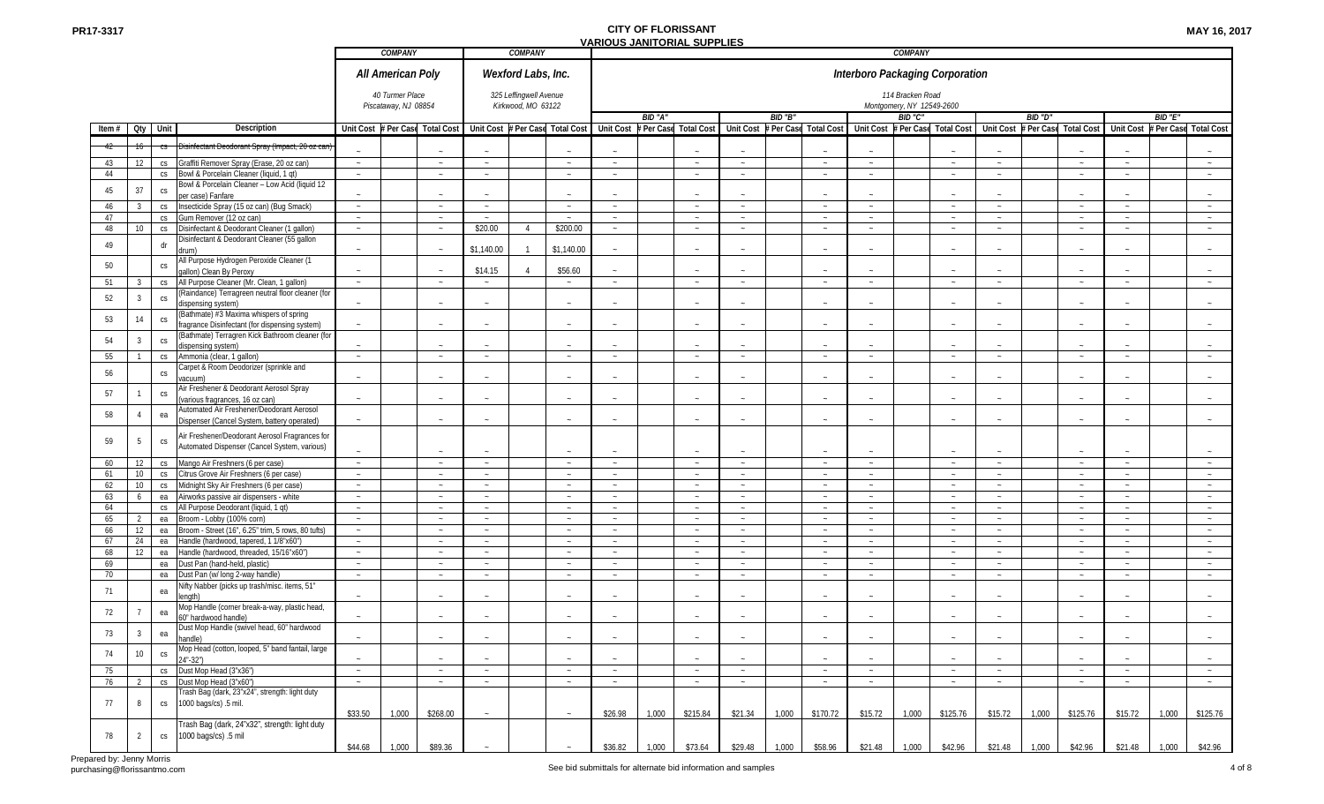| <b>MAY 16, 2017</b> |  |  |
|---------------------|--|--|
|---------------------|--|--|

|                                                                                                                                     |                  | <b>COMPANY</b>                          |                                 |                                 | <b>COMPANY</b>                               |                  |                                 |         |                       |                    |         |                       |                                 | <b>COMPANY</b>                                |                                 |                                 |         |                     |                  |         |                       |
|-------------------------------------------------------------------------------------------------------------------------------------|------------------|-----------------------------------------|---------------------------------|---------------------------------|----------------------------------------------|------------------|---------------------------------|---------|-----------------------|--------------------|---------|-----------------------|---------------------------------|-----------------------------------------------|---------------------------------|---------------------------------|---------|---------------------|------------------|---------|-----------------------|
|                                                                                                                                     |                  | All American Poly                       |                                 |                                 | Wexford Labs, Inc.                           |                  |                                 |         |                       |                    |         |                       | Interboro Packaging Corporation |                                               |                                 |                                 |         |                     |                  |         |                       |
|                                                                                                                                     |                  | 40 Turmer Place<br>Piscataway, NJ 08854 |                                 |                                 | 325 Leffingwell Avenue<br>Kirkwood, MO 63122 |                  |                                 |         |                       |                    |         |                       |                                 | 114 Bracken Road<br>Montgomery, NY 12549-2600 |                                 |                                 |         |                     |                  |         |                       |
|                                                                                                                                     |                  |                                         |                                 |                                 |                                              |                  |                                 | BID "A" |                       |                    | BID "B" |                       |                                 | BID "C"                                       |                                 |                                 | BID "D" |                     |                  | BID "E" |                       |
| Item # Qty Unit<br>Description                                                                                                      |                  |                                         | Unit Cost # Per Case Total Cost | Unit Cost # Per Case Total Cost |                                              |                  | <b>Unit Cost</b>                |         | # Per Case Total Cost | <b>Unit Cost</b>   |         | # Per Case Total Cost |                                 |                                               | Unit Cost # Per Case Total Cost | <b>Unit Cost</b>                |         | Per Case Total Cost | <b>Unit Cost</b> |         | # Per Case Total Cost |
| )isinfectant Deodorant Spray (Impact, 20 oz can                                                                                     |                  |                                         |                                 |                                 |                                              |                  |                                 |         | $\sim$                |                    |         |                       |                                 |                                               |                                 |                                 |         | $\sim$              |                  |         |                       |
| Graffiti Remover Spray (Erase, 20 oz can)<br>43<br>12<br>CS                                                                         | $\sim$           |                                         | $\sim$                          | $\sim$                          |                                              | $\sim$           | $\sim$                          |         | $\sim$                | $\sim$             |         | $\sim$                | $\sim$                          |                                               | $\sim$                          | $\sim$                          |         | $\sim$              | $\sim$           |         | $\sim$                |
| 44<br>Bowl & Porcelain Cleaner (liquid, 1 qt)<br>CS                                                                                 | $\sim$           |                                         | $\sim$                          | $\sim$                          |                                              | $\sim$           | $\sim$                          |         | $\sim$                | $\sim$             |         |                       | $\sim$                          |                                               | $\sim$                          | $\sim$                          |         | $\sim$              | $\sim$           |         | $\sim$                |
| Bowl & Porcelain Cleaner - Low Acid (liquid 12<br>37<br>45<br>$\mathbb{C}\mathsf{S}$<br>per case) Fanfare                           | $\sim$           |                                         | $\sim$                          | $\sim$                          |                                              | $\sim$           |                                 |         | $\sim$                | $\sim$             |         |                       | $\sim$                          |                                               | $\sim$                          | $\sim$                          |         | $\sim$              | $\sim$           |         |                       |
| Insecticide Spray (15 oz can) (Bug Smack)<br>46<br>3<br>CS                                                                          | $\sim$           |                                         | $\sim$                          | $\sim$                          |                                              | $\sim$           | $\sim$                          |         | $\sim$                | $\sim$             |         | $\sim$                | $\sim$                          |                                               | $\sim$                          | $\sim$                          |         | $\sim$              | $\sim$           |         | $\sim$                |
| 47<br>Gum Remover (12 oz can)<br>CS                                                                                                 | $\sim$           |                                         | $\sim$                          | $\sim$                          |                                              | $\sim$           | $\sim$                          |         | $\sim$                | $\sim$             |         | $\sim$                | $\sim$                          |                                               | $\sim$                          | $\sim$                          |         | $\sim$              | $\sim$           |         | $\sim$                |
| 48<br>Disinfectant & Deodorant Cleaner (1 gallon)<br>10<br>CS                                                                       | $\sim$           |                                         | $\sim$                          | \$20.00                         | $\Delta$                                     | \$200.00         | $\sim$                          |         | $\sim$                | $\sim$             |         | $\sim$                | $\sim$                          |                                               | $\sim$                          | $\sim$                          |         | $\sim$              | $\sim$           |         | $\sim$                |
| Disinfectant & Deodorant Cleaner (55 gallon<br>dr<br>49                                                                             |                  |                                         |                                 |                                 |                                              |                  |                                 |         |                       |                    |         |                       |                                 |                                               |                                 |                                 |         |                     |                  |         |                       |
| drum)<br>All Purpose Hydrogen Peroxide Cleaner (1                                                                                   | $\sim$           |                                         | $\sim$                          | \$1,140.00                      |                                              | \$1,140.00       |                                 |         | $\sim$                |                    |         |                       |                                 |                                               |                                 |                                 |         | $\sim$              |                  |         |                       |
| 50<br>$\mathbb{C}\mathsf{S}$<br>gallon) Clean By Peroxy                                                                             | $\sim$           |                                         | $\sim$                          | \$14.15                         |                                              | \$56.60          |                                 |         | $\sim$                |                    |         |                       |                                 |                                               |                                 |                                 |         |                     |                  |         |                       |
| All Purpose Cleaner (Mr. Clean, 1 gallon)<br>51<br>3<br>CS<br>(Raindance) Terragreen neutral floor cleaner (for                     | $\sim$           |                                         | $\sim$                          | $\sim$                          |                                              | $\sim$           | $\sim$                          |         | $\sim$                | $\sim$             |         | $\sim$                | $\sim$                          |                                               | $\sim$                          | $\sim$                          |         | $\sim$              | $\sim$           |         | $\sim$                |
| $\mathsf{CS}\,$<br>52<br>$\overline{3}$<br>dispensing system)                                                                       | $\sim$           |                                         | $\sim$                          |                                 |                                              | $\sim$           |                                 |         | $\sim$                |                    |         |                       |                                 |                                               | $\sim$                          |                                 |         | $\sim$              |                  |         |                       |
| (Bathmate) #3 Maxima whispers of spring<br>53<br>14<br>$\mathbb{C}\mathsf{S}$<br>ragrance Disinfectant (for dispensing system)      |                  |                                         |                                 |                                 |                                              |                  |                                 |         |                       |                    |         |                       |                                 |                                               |                                 |                                 |         |                     |                  |         |                       |
| (Bathmate) Terragren Kick Bathroom cleaner (for                                                                                     |                  |                                         |                                 |                                 |                                              |                  |                                 |         |                       |                    |         |                       |                                 |                                               |                                 |                                 |         |                     |                  |         |                       |
| 54<br>3<br>$\mathbb{C}\mathsf{S}$<br>dispensing system)                                                                             |                  |                                         |                                 |                                 |                                              |                  |                                 |         |                       |                    |         |                       |                                 |                                               |                                 |                                 |         |                     |                  |         |                       |
| 55<br>Ammonia (clear, 1 gallon)<br>CS                                                                                               | $\sim$           |                                         | $\sim$                          | $\sim$                          |                                              | $\sim$           | $\sim$                          |         | $\sim$                | $\sim$             |         | $\sim$                | $\sim$                          |                                               | $\sim$                          | $\sim$                          |         | $\sim$              | $\sim$           |         | $\sim$                |
| Carpet & Room Deodorizer (sprinkle and<br>56<br>${\sf CS}$                                                                          |                  |                                         |                                 |                                 |                                              |                  |                                 |         |                       |                    |         |                       |                                 |                                               |                                 |                                 |         |                     |                  |         |                       |
| acuum)<br>Air Freshener & Deodorant Aerosol Spray                                                                                   |                  |                                         |                                 |                                 |                                              |                  |                                 |         |                       |                    |         |                       |                                 |                                               |                                 |                                 |         |                     |                  |         |                       |
| 57<br>${\sf CS}$<br>(various fragrances, 16 oz can)                                                                                 | $\sim$           |                                         |                                 |                                 |                                              |                  |                                 |         |                       |                    |         |                       |                                 |                                               |                                 |                                 |         |                     |                  |         |                       |
| Automated Air Freshener/Deodorant Aerosol<br>58<br>ea<br>4<br>Dispenser (Cancel System, battery operated)                           | $\sim$           |                                         | $\sim$                          |                                 |                                              | $\sim$           | $\sim$                          |         | $\sim$                |                    |         |                       |                                 |                                               | $\sim$                          | $\sim$                          |         | $\sim$              |                  |         |                       |
| Air Freshener/Deodorant Aerosol Fragrances for<br>59<br>5<br>$\mathbb{C}\mathsf{S}$                                                 |                  |                                         |                                 |                                 |                                              |                  |                                 |         |                       |                    |         |                       |                                 |                                               |                                 |                                 |         |                     |                  |         |                       |
| Automated Dispenser (Cancel System, various)                                                                                        |                  |                                         |                                 |                                 |                                              |                  |                                 |         |                       |                    |         |                       |                                 |                                               |                                 |                                 |         |                     |                  |         |                       |
| Mango Air Freshners (6 per case)<br>60<br>12<br>CS                                                                                  | $\sim$           |                                         | $\sim$                          | $\sim$                          |                                              | $\sim$           | $\sim$                          |         | $\sim$                | $\sim$             |         | $\sim$                | $\sim$                          |                                               | $\sim$                          | $\sim$                          |         | $\sim$              | $\sim$           |         | $\sim$                |
| 10<br>Citrus Grove Air Freshners (6 per case)<br>61<br>CS<br>62<br>10 <sup>1</sup><br>Midnight Sky Air Freshners (6 per case)<br>CS | $\sim$<br>$\sim$ |                                         | $\sim$<br>$\sim$                | $\sim$                          |                                              | $\sim$<br>$\sim$ | $\sim$<br>$\sim$                |         | $\sim$<br>$\sim$      | $\sim$<br>$\sim$   |         | $\sim$<br>$\sim$      | $\sim$<br>$\sim$                |                                               | $\sim$<br>$\sim$                | $\sim$<br>$\sim$                |         | $\sim$<br>$\sim$    | $\sim$<br>$\sim$ |         | $\sim$<br>$\sim$      |
| 63<br>Airworks passive air dispensers - white<br>6<br>ea                                                                            | $\sim$           |                                         | $\sim$                          | $\sim$<br>$\sim$                |                                              | $\sim$           | $\sim$                          |         | $\sim$                | $\sim$             |         | $\sim$                | $\sim$                          |                                               | $\sim$                          | $\sim$                          |         | $\sim$              | $\sim$           |         | $\sim$                |
| 64<br>All Purpose Deodorant (liquid, 1 qt)<br>CS                                                                                    | $\sim$           |                                         |                                 | $\sim$                          |                                              | $\sim$           |                                 |         | $\sim$                |                    |         | $\sim$                |                                 |                                               | $\sim$                          |                                 |         | $\sim$              | $\sim$           |         |                       |
| Broom - Lobby (100% corn)<br>65<br>$\overline{2}$<br>ea                                                                             | $\sim$           |                                         | $\sim$                          | $\sim$                          |                                              | $\sim$           | $\sim$                          |         | $\sim$                | $\sim$             |         | $\sim$                | $\sim$                          |                                               | $\sim$                          | $\sim$                          |         | $\sim$              | $\sim$           |         | $\sim$                |
| Broom - Street (16", 6.25" trim, 5 rows, 80 tufts)<br>66<br>12<br>ea                                                                | $\sim$           |                                         | $\sim$                          | $\sim$                          |                                              | $\sim$           | $\sim$                          |         | $\sim$                | $\sim$             |         | $\sim$                | $\sim$                          |                                               | $\sim$                          | $\sim$                          |         | $\sim$              | $\sim$           |         | $\sim$                |
| 67<br>24<br>Handle (hardwood, tapered, 1 1/8"x60")<br>ea                                                                            | $\sim$           |                                         | $\sim$                          | $\sim$                          |                                              | $\sim$           | $\sim$                          |         | $\sim$                | $\sim$             |         | $\sim$                | $\sim$                          |                                               | $\sim$                          | $\sim$                          |         | $\sim$              | $\sim$           |         | $\sim$                |
| 68<br>12<br>Handle (hardwood, threaded, 15/16"x60")<br>ea<br>69<br>Dust Pan (hand-held, plastic)<br>ea                              | $\sim$<br>$\sim$ |                                         | $\sim$<br>$\sim$                | $\sim$<br>$\sim$                |                                              | $\sim$<br>$\sim$ | $\tilde{\phantom{a}}$<br>$\sim$ |         | $\sim$<br>$\sim$      | $\sim$<br>$\sim$   |         | $\sim$<br>$\sim$      | $\sim$<br>$\sim$                |                                               | $\sim$<br>$\sim$                | $\tilde{\phantom{a}}$<br>$\sim$ |         | $\sim$<br>$\sim$    | $\sim$<br>$\sim$ |         | $\sim$<br>$\sim$      |
| 70<br>Dust Pan (w/ long 2-way handle)<br>ea                                                                                         | $\sim$           |                                         | $\sim$                          | $\sim$                          |                                              | $\sim$           | $\sim$                          |         | $\sim$                | $\sim$             |         | $\sim$                | $\sim$                          |                                               | $\sim$                          | $\sim$                          |         | $\sim$              | $\sim$           |         | $\sim$                |
| lifty Nabber (picks up trash/misc. items, 51"<br>71<br>ea<br>enath)                                                                 |                  |                                         |                                 |                                 |                                              |                  |                                 |         |                       |                    |         |                       |                                 |                                               |                                 |                                 |         |                     |                  |         |                       |
| Mop Handle (corner break-a-way, plastic head,<br>72<br>ea                                                                           |                  |                                         |                                 |                                 |                                              |                  |                                 |         |                       |                    |         |                       |                                 |                                               |                                 |                                 |         |                     |                  |         |                       |
| 60" hardwood handle)<br>Dust Mop Handle (swivel head, 60" hardwood<br>73<br>$\overline{3}$<br>ea                                    | $\sim$           |                                         |                                 |                                 |                                              |                  |                                 |         |                       |                    |         |                       |                                 |                                               |                                 |                                 |         |                     |                  |         |                       |
| handle)<br>Mop Head (cotton, looped, 5" band fantail, large                                                                         |                  |                                         |                                 |                                 |                                              |                  |                                 |         |                       |                    |         |                       |                                 |                                               |                                 |                                 |         |                     |                  |         |                       |
| 10<br>74<br>CS<br>24"-32")                                                                                                          | $\sim$           |                                         | $\sim$                          | $\sim$                          |                                              | $\sim$           | $\sim$                          |         | $\sim$                | $\sim$             |         | $\sim$                | $\sim$                          |                                               | $\sim$                          | $\sim$                          |         | $\sim$              | $\sim$           |         | $\sim$                |
| Dust Mop Head (3"x36")<br>75<br>CS<br>Dust Mop Head (3"x60")<br>76<br>2<br>CS                                                       | $\sim$<br>$\sim$ |                                         | $\sim$                          | $\sim$                          |                                              | $\sim$<br>$\sim$ | $\sim$<br>$\sim$                |         | $\sim$                | $\sim$<br>$\sim$ . |         | $\sim$                | $\sim$                          |                                               | $\sim$                          | $\sim$<br>$\sim$                |         | $\sim$<br>$\sim$    | $\sim$<br>$\sim$ |         | $\sim$                |
| Trash Bag (dark, 23"x24", strength: light duty                                                                                      |                  |                                         | $\sim$                          | $\sim$                          |                                              |                  |                                 |         | $\sim$                |                    |         | $\sim$                | $\sim$                          |                                               | $\sim$                          |                                 |         |                     |                  |         | $\sim$                |
| 1000 bags/cs) .5 mil.<br>77<br>8<br>CS                                                                                              | \$33.50          | 1,000                                   | \$268.00                        | $\sim$                          |                                              | $\sim$           | \$26.98                         | 1,000   | \$215.84              | \$21.34            | 1,000   | \$170.72              | \$15.72                         | 1,000                                         | \$125.76                        | \$15.72                         | 1,000   | \$125.76            | \$15.72          | 1,000   | \$125.76              |
| Trash Bag (dark, 24"x32", strength: light duty                                                                                      |                  |                                         |                                 |                                 |                                              |                  |                                 |         |                       |                    |         |                       |                                 |                                               |                                 |                                 |         |                     |                  |         |                       |
| 1000 bags/cs) .5 mil<br>78<br>2<br>CS                                                                                               | \$44.68          | 1,000                                   | \$89.36                         |                                 |                                              |                  | \$36.82                         | 1,000   | \$73.64               | \$29.48            | 1,000   | \$58.96               | \$21.48                         | 1,000                                         | \$42.96                         | \$21.48                         | 1,000   | \$42.96             | \$21.48          | 1,000   | \$42.96               |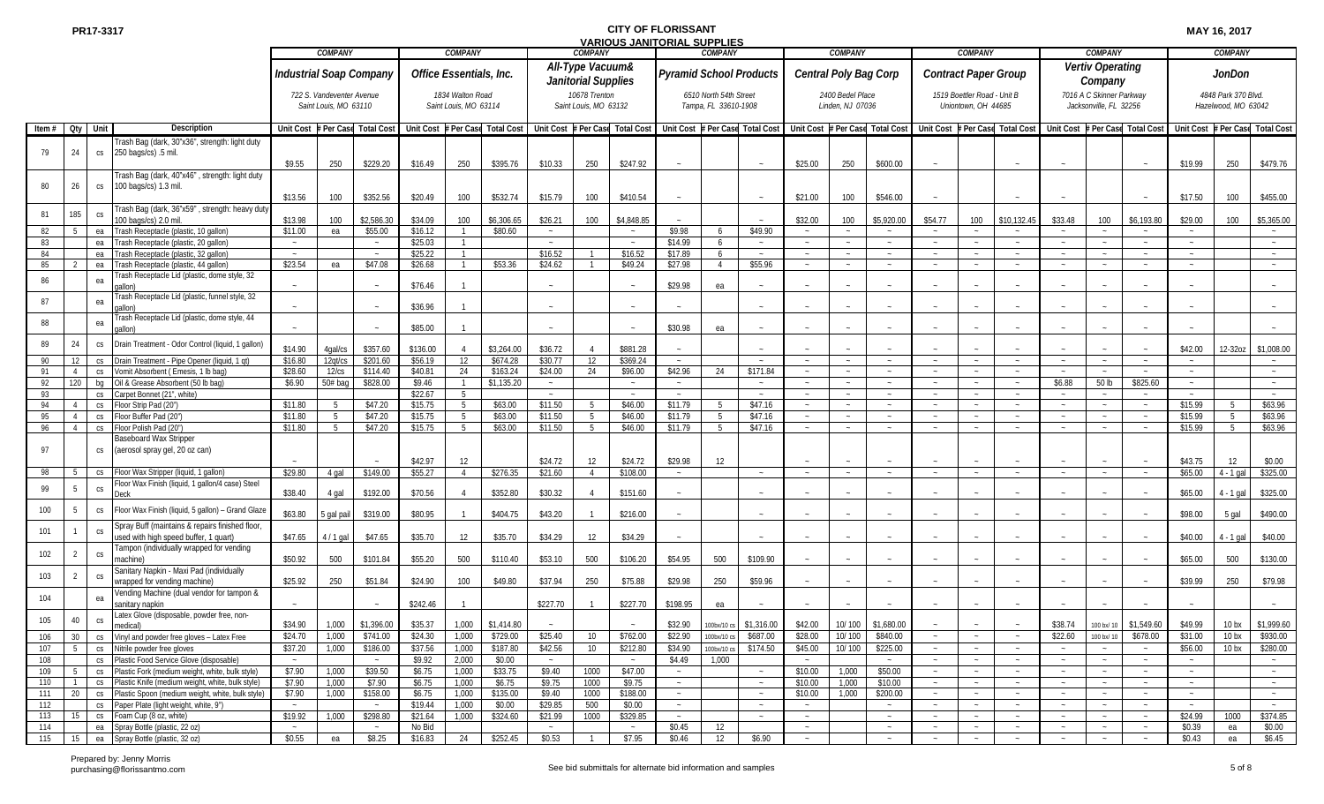|              |                |                 |                                                                                                          |                       | <b>COMPANY</b>                                     |                                        |                     | <b>COMPANY</b>                            |                                 |                      | <b>COMPANY</b>                          |                        |                                | COMPANY                                        |                                            |                                                                                                     | <b>COMPANY</b>                       |                        |                         | <b>COMPANY</b>                                     |                                                                                                     |                      | <b>COMPANY</b>                                     |                                           |                     | <b>COMPANY</b>                             |                              |
|--------------|----------------|-----------------|----------------------------------------------------------------------------------------------------------|-----------------------|----------------------------------------------------|----------------------------------------|---------------------|-------------------------------------------|---------------------------------|----------------------|-----------------------------------------|------------------------|--------------------------------|------------------------------------------------|--------------------------------------------|-----------------------------------------------------------------------------------------------------|--------------------------------------|------------------------|-------------------------|----------------------------------------------------|-----------------------------------------------------------------------------------------------------|----------------------|----------------------------------------------------|-------------------------------------------|---------------------|--------------------------------------------|------------------------------|
|              |                |                 |                                                                                                          |                       |                                                    | Industrial Soap Company                |                     | Office Essentials, Inc.                   |                                 |                      | All-Type Vacuum&<br>Janitorial Supplies |                        | <b>Pyramid School Products</b> |                                                |                                            |                                                                                                     | Central Poly Bag Corp                |                        |                         | <b>Contract Paper Group</b>                        |                                                                                                     |                      | Vertiv Operating<br>Company                        |                                           |                     | JonDon                                     |                              |
|              |                |                 |                                                                                                          |                       | 722 S. Vandeventer Avenue<br>Saint Louis, MO 63110 |                                        |                     | 1834 Walton Road<br>Saint Louis, MO 63114 |                                 |                      | 10678 Trenton<br>Saint Louis, MO 63132  |                        |                                | 6510 North 54th Street<br>Tampa, FL 33610-1908 |                                            |                                                                                                     | 2400 Bedel Place<br>Linden, NJ 07036 |                        |                         | 1519 Boettler Road - Unit B<br>Uniontown, OH 44685 |                                                                                                     |                      | 7016 A C Skinner Parkway<br>Jacksonville, FL 32256 |                                           |                     | 4848 Park 370 Blvd.<br>Hazelwood, MO 63042 |                              |
| Item $#$ Oty |                | Unit            | <b>Description</b>                                                                                       |                       |                                                    | Unit Cost # Per Case Total Cost        |                     |                                           | Unit Cost # Per Case Total Cost |                      |                                         |                        |                                |                                                |                                            | Unit Cost # Per Case Total Cost   Unit Cost # Per Case Total Cost   Unit Cost # Per Case Total Cost |                                      |                        |                         |                                                    | Unit Cost # Per Case Total Cost   Unit Cost # Per Case Total Cost   Unit Cost # Per Case Total Cost |                      |                                                    |                                           |                     |                                            |                              |
| 79           | 24             | CS              | Frash Bag (dark, 30"x36", strength: light duty<br>250 bags/cs) .5 mil.                                   |                       |                                                    | \$229.20                               |                     |                                           |                                 |                      |                                         | \$247.92               |                                |                                                |                                            |                                                                                                     | 250                                  |                        |                         |                                                    |                                                                                                     |                      |                                                    |                                           |                     |                                            |                              |
| 80           | 26             | ${\sf CS}$      | rash Bag (dark, 40"x46", strength: light duty<br>100 bags/cs) 1.3 mil.                                   | \$9.55                | 250                                                |                                        | \$16.49             | 250                                       | \$395.76                        | \$10.33              | 250                                     |                        |                                |                                                |                                            | \$25.00                                                                                             |                                      | \$600.00               |                         |                                                    |                                                                                                     |                      |                                                    |                                           | \$19.99             | 250                                        | \$479.76                     |
| 81           | 185            | CS              | rash Bag (dark, 36"x59", strength: heavy duty<br>100 bags/cs) 2.0 mil                                    | \$13.56<br>\$13.98    | 100<br>100                                         | \$352.56<br>\$2,586.30                 | \$20.49<br>\$34.09  | 100<br>100                                | \$532.74<br>\$6,306.65          | \$15.79<br>\$26.21   | 100<br>100                              | \$410.54<br>\$4,848.85 |                                |                                                | $\sim$                                     | \$21.00<br>\$32.00                                                                                  | 100<br>100                           | \$546.00<br>\$5,920.00 | \$54.77                 | 100                                                | \$10,132.4                                                                                          | \$33.48              | 100                                                | \$6,193.80                                | \$17.50<br>\$29.00  | 100<br>100                                 | \$455.00<br>\$5,365.00       |
| 82           | -5             | ea              | Frash Receptacle (plastic, 10 gallon)                                                                    | \$11.00               | ea                                                 | \$55.00                                | \$16.12             |                                           | \$80.60                         | $\sim$               |                                         | $\sim$                 | \$9.98                         |                                                | \$49.90                                    |                                                                                                     | $\sim$                               |                        |                         | $\sim$                                             | $\sim$                                                                                              | $\sim$               |                                                    |                                           | $\sim$              |                                            | $\sim$                       |
| 83           |                | ea              | rash Receptacle (plastic, 20 gallon)                                                                     |                       |                                                    |                                        | \$25.03             |                                           |                                 |                      |                                         |                        | \$14.99                        |                                                | $\sim$                                     |                                                                                                     |                                      |                        |                         |                                                    |                                                                                                     |                      |                                                    |                                           |                     |                                            |                              |
| 84           |                | ea              | rash Receptacle (plastic, 32 gallon)                                                                     |                       |                                                    |                                        | \$25.22             |                                           |                                 | \$16.52              |                                         | \$16.52                | \$17.89                        |                                                | $\sim$                                     | $\sim$                                                                                              |                                      |                        |                         |                                                    |                                                                                                     | $\sim$               |                                                    | $\sim$                                    |                     |                                            |                              |
| 85           |                | ea              | Frash Receptacle (plastic, 44 gallon)                                                                    | \$23.54               | ea                                                 | \$47.08                                | \$26.68             |                                           | \$53.36                         | \$24.62              |                                         | \$49.24                | \$27.98                        | $\overline{4}$                                 | \$55.96                                    |                                                                                                     | $\sim$                               |                        |                         |                                                    |                                                                                                     |                      |                                                    |                                           |                     |                                            |                              |
| 86           |                | ea              | rash Receptacle Lid (plastic, dome style, 32<br>allon'<br>rash Receptacle Lid (plastic, funnel style, 32 |                       |                                                    |                                        | \$76.46             |                                           |                                 |                      |                                         |                        | \$29.98                        | ea                                             |                                            |                                                                                                     |                                      |                        |                         |                                                    |                                                                                                     |                      |                                                    |                                           |                     |                                            |                              |
| 87           |                | ea              | allon)<br>rash Receptacle Lid (plastic, dome style, 44                                                   |                       |                                                    |                                        | \$36.96             |                                           |                                 |                      |                                         |                        |                                |                                                |                                            |                                                                                                     |                                      |                        |                         |                                                    |                                                                                                     |                      |                                                    |                                           |                     |                                            |                              |
| 88           |                | ea              | allon)                                                                                                   |                       |                                                    |                                        | \$85.00             |                                           |                                 |                      |                                         |                        | \$30.98                        | ea                                             |                                            |                                                                                                     |                                      |                        |                         |                                                    |                                                                                                     |                      |                                                    |                                           |                     |                                            |                              |
| 89<br>90     | 24<br>12       | CS<br>CS        | Drain Treatment - Odor Control (liquid, 1 gallon)<br>Drain Treatment - Pipe Opener (liquid, 1 qt)        | \$14.90<br>\$16.80    | 4gal/cs<br>12qt/cs                                 | \$357.60<br>\$201.60                   | \$136.00<br>\$56.19 | 12                                        | \$3,264.00<br>\$674.28          | \$36.72<br>\$30.77   | 12                                      | \$881.28<br>\$369.24   | $\sim$                         |                                                |                                            |                                                                                                     | $\sim$                               |                        |                         |                                                    | $\sim$                                                                                              |                      |                                                    |                                           | \$42.00             | 12-32oz                                    | \$1,008.00                   |
| 91           |                | CS              | /omit Absorbent (Emesis, 1 lb bag)                                                                       | \$28.60               | 12/cs                                              | \$114.40                               | \$40.81             | 24                                        | \$163.24                        | \$24.00              | 24                                      | \$96.00                | \$42.96                        | 24                                             | \$171.84                                   | $\sim$                                                                                              | $\sim$                               |                        |                         | $\sim$                                             |                                                                                                     |                      |                                                    |                                           |                     |                                            |                              |
| 92           | 120            | bq              | Oil & Grease Absorbent (50 lb bag)                                                                       | \$6.90                | $50#$ bag                                          | \$828.00                               | \$9.46              |                                           | \$1,135.20                      |                      |                                         |                        |                                |                                                | $\sim$                                     |                                                                                                     |                                      |                        |                         |                                                    |                                                                                                     | \$6.88               | 50 lb                                              | \$825.60                                  |                     |                                            |                              |
| 93           |                | CS              | Carpet Bonnet (21", white)                                                                               |                       |                                                    |                                        | \$22.67             | - 5                                       |                                 | $\sim$               |                                         | $\sim$                 | $\sim$                         |                                                | $\sim$                                     | $\sim$                                                                                              | $\sim$                               | $\sim$                 | $\sim$                  | $\sim$                                             | $\sim$                                                                                              | $\sim$               |                                                    | $\sim$                                    | $\sim$              |                                            | $\sim$                       |
| 94           |                | CS              | Floor Strip Pad (20")                                                                                    | \$11.80               |                                                    | \$47.20                                | \$15.75             | - 5                                       | \$63.00                         | \$11.50              | 5                                       | \$46.00                | \$11.79                        |                                                | \$47.16                                    | $\sim$                                                                                              | $\sim$                               |                        | $\sim$                  | $\sim$                                             | $\sim$                                                                                              | $\sim$               |                                                    | $\sim$                                    | \$15.99             | 5                                          | \$63.96                      |
| 95           | $\overline{4}$ | CS              | Floor Buffer Pad (20")                                                                                   | \$11.80               | -5                                                 | \$47.20                                | \$15.75             | - 5                                       | \$63.00                         | \$11.50              | 5                                       | \$46.00                | \$11.79                        |                                                | \$47.16                                    | $\sim$                                                                                              | $\sim$                               |                        | $\sim$                  | $\sim$                                             | $\sim$                                                                                              | $\sim$               |                                                    | $\sim$                                    | \$15.99             | 5                                          | \$63.96                      |
| 96           | $\overline{4}$ | CS              | Floor Polish Pad (20")                                                                                   | \$11.80               |                                                    | \$47.20                                | \$15.75             | $\sqrt{2}$                                | \$63.00                         | \$11.50              | $5^{\circ}$                             | \$46.00                | \$11.79                        |                                                | \$47.16                                    | $\sim$                                                                                              | $\sim$                               |                        |                         | $\sim$                                             |                                                                                                     | $\sim$               |                                                    | $\sim$                                    | \$15.99             | .5                                         | \$63.96                      |
| 97           |                | CS              | Baseboard Wax Stripper<br>(aerosol spray gel, 20 oz can)                                                 |                       |                                                    |                                        |                     |                                           |                                 |                      |                                         |                        |                                |                                                |                                            |                                                                                                     |                                      |                        |                         |                                                    |                                                                                                     |                      |                                                    |                                           |                     |                                            |                              |
| 98           | -5             |                 | loor Wax Stripper (liquid, 1 gallon)                                                                     | \$29.80               | 4 gal                                              | \$149.00                               | \$42.97<br>\$55.27  | 12<br>$\overline{4}$                      | \$276.35                        | \$24.72<br>\$21.60   | 12<br>$\overline{4}$                    | \$24.72<br>\$108.00    | \$29.98<br>$\sim$              | 12                                             | $\sim$                                     |                                                                                                     |                                      |                        |                         |                                                    |                                                                                                     |                      |                                                    |                                           | \$43.75<br>\$65.00  | 12                                         | \$0.00<br>\$325.00           |
|              |                | CS              | Floor Wax Finish (liquid, 1 gallon/4 case) Steel                                                         |                       |                                                    |                                        |                     |                                           |                                 |                      |                                         |                        |                                |                                                |                                            |                                                                                                     |                                      |                        |                         |                                                    |                                                                                                     |                      |                                                    |                                           |                     | $4 - 1$ gal                                |                              |
| 99           | 5              | CS              | )eck                                                                                                     | \$38.40               | 4 gal                                              | \$192.00                               | \$70.56             |                                           | \$352.80                        | \$30.32              |                                         | \$151.60               |                                |                                                |                                            |                                                                                                     |                                      |                        |                         |                                                    |                                                                                                     |                      |                                                    |                                           | \$65.00             | 4 - 1 gal                                  | \$325.00                     |
| 100<br>101   | 5              | ${\sf CS}$      | Floor Wax Finish (liquid, 5 gallon) - Grand Glaze<br>Spray Buff (maintains & repairs finished floor      | \$63.80               | i gal pail                                         | \$319.00                               | \$80.95             |                                           | \$404.75                        | \$43.20              |                                         | \$216.00               |                                |                                                |                                            |                                                                                                     |                                      |                        |                         |                                                    |                                                                                                     |                      |                                                    |                                           | \$98.00             | 5 gal                                      | \$490.00                     |
| 102          | 2              | <b>CS</b><br>CS | ised with high speed buffer, 1 quart)<br>ampon (individually wrapped for vending                         | \$47.65               | 4/1 gal                                            | \$47.65                                | \$35.70             | 12                                        | \$35.70                         | \$34.29              | 12                                      | \$34.29                |                                |                                                |                                            |                                                                                                     |                                      |                        |                         |                                                    |                                                                                                     |                      |                                                    |                                           | \$40.00             | 4 - 1 gal                                  | \$40.00                      |
| 103          |                | <b>CS</b>       | nachine)<br>Sanitary Napkin - Maxi Pad (individually                                                     | \$50.92               | 500                                                | \$101.84                               | \$55.20             | 500                                       | \$110.40                        | \$53.10              | 500                                     | \$106.20               | \$54.95                        | 500                                            | \$109.90                                   |                                                                                                     |                                      |                        |                         |                                                    |                                                                                                     |                      |                                                    |                                           | \$65.00             | 500                                        | \$130.00                     |
|              |                |                 | rapped for vending machine)<br>/ending Machine (dual vendor for tampon &                                 | \$25.92               | 250                                                | \$51.84                                | \$24.90             | 100                                       | \$49.80                         | \$37.94              | 250                                     | \$75.88                | \$29.98                        | 250                                            | \$59.96                                    |                                                                                                     |                                      |                        |                         |                                                    |                                                                                                     |                      |                                                    |                                           | \$39.99             | 250                                        | \$79.98                      |
| 104<br>105   | 40             | ea              | sanitary napkin<br>atex Glove (disposable, powder free, non                                              |                       |                                                    |                                        | \$242.46            |                                           |                                 | \$227.70             |                                         | \$227.70               | \$198.95                       | ea                                             |                                            |                                                                                                     |                                      |                        |                         |                                                    |                                                                                                     |                      |                                                    |                                           |                     |                                            |                              |
|              |                | CS              | nedical)<br>106 30 cs Vinyl and powder free gloves - Latex Free                                          | \$34.90               | 1,000                                              | \$1,396.00<br>\$24.70  1,000  \$741.00 | \$35.37<br>\$24.30  | 1,000                                     | \$1,414.80<br>1,000 \$729.00    | \$25.40              | - 10                                    | \$762.00               | \$32.90<br>\$22.90             | 100bx/10 cs                                    | \$1,316.00<br>$100\frac{b}{10}$ cs $368/0$ | \$42.00                                                                                             | 10/100<br>\$28.00 10/100 \$840.00    | \$1,680.00             |                         | $\sim$                                             | $\sim$                                                                                              | \$38.74              | 100 bx/ 10                                         | \$1,549.60<br>$$22.60$ 100 bx/10 \$678.00 | \$49.99<br>$$31.00$ | 10 <sub>bx</sub>                           | \$1,999.60<br>10 DX \$930.00 |
|              |                |                 | 107 5 cs Nitrile powder free gloves                                                                      | \$37.20               | 1,000                                              | \$186.00                               | \$37.56             | 1,000                                     | \$187.80                        | \$42.56              | 10                                      | \$212.80               | \$34.90                        | 100bx/10 cs                                    | \$174.50                                   | \$45.00                                                                                             | 10/100                               | \$225.00               | $\sim$                  | $\sim$                                             | $\sim$                                                                                              | $\sim$               |                                                    | $\sim$                                    | \$56.00             | 10 bx                                      | \$280.00                     |
| 108          |                |                 | cs Plastic Food Service Glove (disposable)                                                               | $\sim$                |                                                    | $\sim$ $\sim$                          | \$9.92              | 2,000                                     | \$0.00                          | $\sim$               |                                         | $\sim$ $\sim$          | \$4.49                         | 1,000                                          |                                            |                                                                                                     |                                      |                        |                         | $\sim$                                             | $\sim$                                                                                              | $\sim$               |                                                    | $\sim$                                    | $\sim$              |                                            | $\sim$ $-$                   |
|              |                |                 | 109 5 cs Plastic Fork (medium weight, white, bulk style)                                                 | \$7.90                | 1.000                                              | \$39.50                                | \$6.75              | 1,000                                     | \$33.75                         | \$9.40               | 1000                                    | \$47.00                | $\sim$                         |                                                | $\sim$ $-$                                 | \$10.00                                                                                             | 1,000                                | \$50.00                | $\sim$                  | $\sim$                                             | $\sim$ $-$                                                                                          | $\sim$               | $\sim$                                             | $\sim$ $-$                                | $\sim$ $-$          |                                            | $\sim 10^{-11}$              |
| $110$   1    |                |                 | cs Plastic Knife (medium weight, white, bulk style)                                                      | \$7.90                | 1,000                                              | \$7.90                                 | \$6.75              | 1,000                                     | \$6.75                          | \$9.75               | 1000                                    | \$9.75                 | $\sim$                         |                                                | $\sim$                                     | \$10.00                                                                                             | 1,000                                | \$10.00                | $\sim$                  | $\sim$                                             | $\sim$                                                                                              | $\sim$               |                                                    | $\sim$                                    | $\sim$              |                                            | $\sim$ $-$                   |
|              |                |                 | 111 20 cs Plastic Spoon (medium weight, white, bulk style)                                               | \$7.90                | 1,000                                              | \$158.00                               | \$6.75              | 1,000                                     | \$135.00                        | \$9.40               | 1000                                    | \$188.00               | $\sim$                         |                                                | $\sim$                                     | \$10.00                                                                                             | 1,000                                | \$200.00               | $\sim$                  | $\sim$                                             | $\sim$                                                                                              | $\sim$               |                                                    | $\sim$                                    | $\sim$              |                                            | $\sim$ $-$                   |
| 112          |                |                 | cs Paper Plate (light weight, white, 9")                                                                 | $\sim$ $\sim$         |                                                    | $\sim$ $\sim$                          | \$19.44             | 1,000                                     | \$0.00                          | \$29.85              | 500                                     | \$0.00                 | $\sim$                         |                                                | $\sim$                                     | $\sim$                                                                                              |                                      | $\sim$                 | $\sim$                  | $\sim$                                             | $\sim$                                                                                              | $\sim$               | $\sim$                                             | $\sim$                                    | $\sim$ $\sim$       |                                            | $\sim$ $-$                   |
|              |                |                 | 113 15 cs Foam Cup (8 oz, white)                                                                         | \$19.92<br>$\sim$ $-$ | 1,000                                              | \$298.80                               | \$21.64             | 1,000                                     | \$324.60                        | \$21.99              | 1000                                    | \$329.85               | $\sim$ $-$<br>\$0.45           |                                                | $\sim$                                     | $\sim$                                                                                              |                                      | $\sim$                 | $\sim$                  | $\sim$                                             | $\sim$                                                                                              | $\sim$               | $\sim$                                             | $\sim$ $-$                                | \$24.99             | 1000                                       | \$374.85                     |
| 114          |                |                 | ea Spray Bottle (plastic, 22 oz)<br>115 15 ea Spray Bottle (plastic, 32 oz)                              | \$0.55                | ea                                                 | $\sim$ $-$<br>\$8.25                   | No Bid<br>\$16.83   | 24                                        | \$252.45                        | $\sim$ $-$<br>\$0.53 |                                         | $\sim 100$<br>\$7.95   | \$0.46                         | 12<br>12                                       | \$6.90                                     | $\sim$<br>$\sim$                                                                                    |                                      | $\sim$                 | $\sim$<br>$\sim$ $\sim$ | $\sim$<br>$\sim$                                   | $\sim$ $-$<br>$\sim$                                                                                | $\sim$ $-$<br>$\sim$ |                                                    | $\sim$ $-$<br>$\sim$                      | \$0.39<br>\$0.43    | ea<br>ea                                   | \$0.00<br>\$6.45             |
|              |                |                 |                                                                                                          |                       |                                                    |                                        |                     |                                           |                                 |                      |                                         |                        |                                |                                                |                                            |                                                                                                     |                                      |                        |                         |                                                    |                                                                                                     |                      |                                                    |                                           |                     |                                            |                              |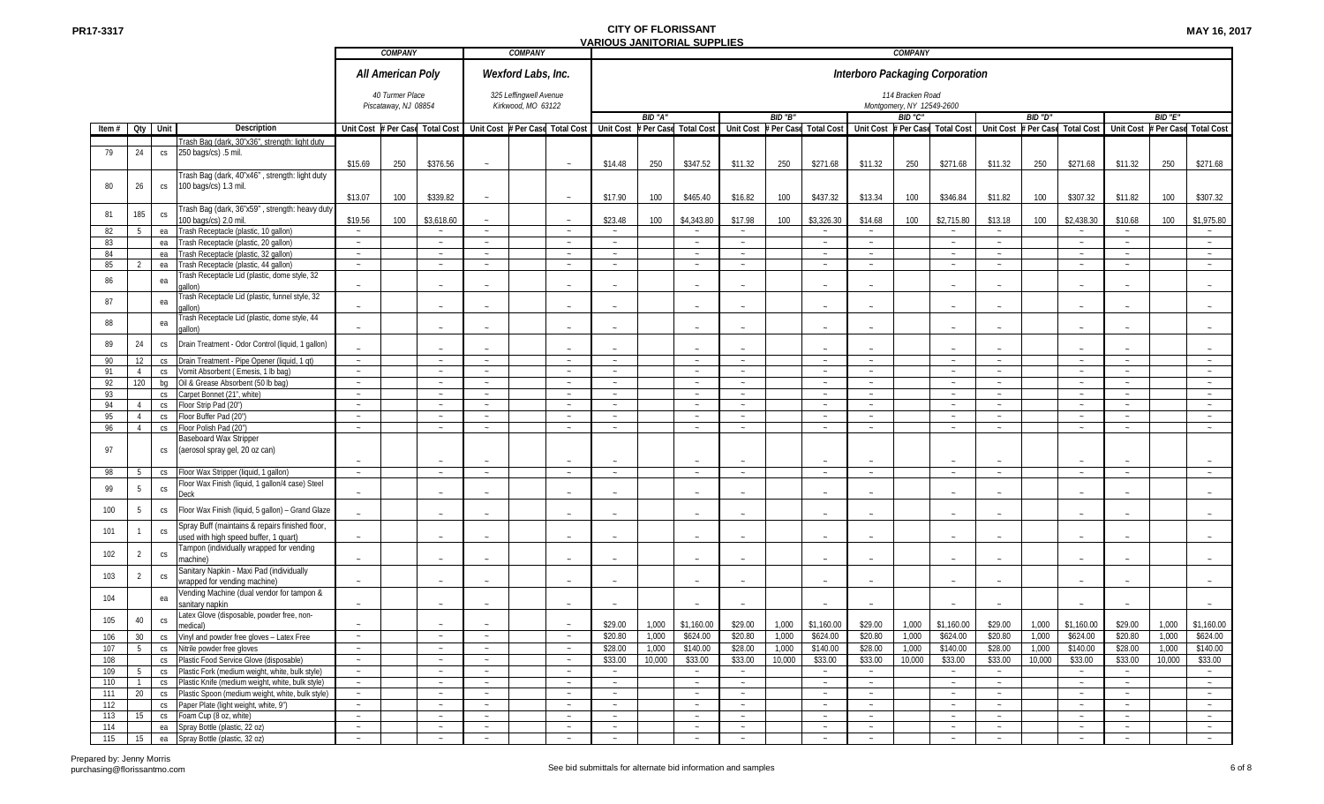|          |                 |                        |                                                                                                      |         | <b>COMPANY</b>                          |                                                                 |        | <b>COMPANY</b>                               |        |         |         |                                 |                  |         |                                                                 |         | COMPANY                                       |                                 |             |         |                                 |                  |         |                     |
|----------|-----------------|------------------------|------------------------------------------------------------------------------------------------------|---------|-----------------------------------------|-----------------------------------------------------------------|--------|----------------------------------------------|--------|---------|---------|---------------------------------|------------------|---------|-----------------------------------------------------------------|---------|-----------------------------------------------|---------------------------------|-------------|---------|---------------------------------|------------------|---------|---------------------|
|          |                 |                        |                                                                                                      |         | All American Poly                       |                                                                 |        | Wexford Labs, Inc.                           |        |         |         |                                 |                  |         |                                                                 |         |                                               | Interboro Packaging Corporation |             |         |                                 |                  |         |                     |
|          |                 |                        |                                                                                                      |         | 40 Turmer Place<br>Piscataway, NJ 08854 |                                                                 |        | 325 Leffingwell Avenue<br>Kirkwood, MO 63122 |        |         |         |                                 |                  |         |                                                                 |         | 114 Bracken Road<br>Montgomery, NY 12549-2600 |                                 |             |         |                                 |                  |         |                     |
|          |                 |                        |                                                                                                      |         |                                         |                                                                 |        |                                              |        |         | BID "A" |                                 |                  | BID "B" |                                                                 |         | BID "C"                                       |                                 |             | BID "D" |                                 |                  | BID "E" |                     |
| Item $#$ |                 | Qty Unit               | Description                                                                                          |         |                                         | Unit Cost # Per Case Total Cost Unit Cost # Per Case Total Cost |        |                                              |        |         |         | Unit Cost # Per Case Total Cost |                  |         | Unit Cost # Per Case Total Cost Unit Cost # Per Case Total Cost |         |                                               |                                 |             |         | Unit Cost # Per Case Total Cost | <b>Unit Cost</b> |         | Per Case Total Cost |
|          |                 |                        | Trash Bag (dark, 30"x36", strength: light duty                                                       |         |                                         |                                                                 |        |                                              |        |         |         |                                 |                  |         |                                                                 |         |                                               |                                 |             |         |                                 |                  |         |                     |
| 79       | 24              | CS                     | 250 bags/cs) .5 mil.                                                                                 | \$15.69 | 250                                     | \$376.56                                                        |        |                                              |        | \$14.48 | 250     | \$347.52                        | \$11.32          | 250     | \$271.68                                                        | \$11.32 | 250                                           | \$271.68                        | \$11.32     | 250     | \$271.68                        | \$11.32          | 250     | \$271.68            |
| 80       | 26              | CS                     | Trash Bag (dark, 40"x46", strength: light duty<br>100 bags/cs) 1.3 mil.                              | \$13.07 | 100                                     | \$339.82                                                        |        |                                              |        | \$17.90 | 100     | \$465.40                        | \$16.82          | 100     | \$437.32                                                        | \$13.34 | 100                                           | \$346.84                        | \$11.82     | 100     | \$307.32                        | \$11.82          | 100     | \$307.32            |
| 81       | 185             | CS                     | Trash Bag (dark, 36"x59", strength: heavy duty<br>100 bags/cs) 2.0 mil                               | \$19.56 | 100                                     | \$3,618.60                                                      | $\sim$ |                                              |        | \$23.48 | 100     | \$4,343.80                      | \$17.98          | 100     | \$3,326.30                                                      | \$14.68 | 100                                           | \$2,715.80                      | \$13.18     | 100     | \$2,438.30                      | \$10.68          | 100     | \$1,975.80          |
| 82       | 5               | ea                     | Trash Receptacle (plastic, 10 gallon)                                                                | $\sim$  |                                         | $\sim$                                                          | $\sim$ |                                              |        |         |         | $\sim$                          | $\sim$           |         | $\sim$                                                          | $\sim$  |                                               | $\sim$                          | $\sim$      |         | $\sim$                          |                  |         | $\sim$              |
| 83       |                 |                        | Trash Receptacle (plastic, 20 gallon)                                                                | $\sim$  |                                         |                                                                 |        |                                              | $\sim$ |         |         |                                 |                  |         | $\sim$                                                          | $\sim$  |                                               |                                 | $\sim$      |         |                                 |                  |         | $\sim$              |
|          |                 | ea                     |                                                                                                      |         |                                         | $\sim$                                                          | $\sim$ |                                              |        | $\sim$  |         | $\sim$<br>$\sim$                | $\sim$<br>$\sim$ |         |                                                                 |         |                                               | $\sim$                          |             |         | $\sim$<br>$\sim$                | $\sim$           |         |                     |
| 84       |                 | ea                     | Trash Receptacle (plastic, 32 gallon)                                                                | $\sim$  |                                         | $\sim$                                                          | $\sim$ |                                              | $\sim$ | $\sim$  |         |                                 |                  |         | $\sim$                                                          | $\sim$  |                                               | $\sim$                          |             |         |                                 | $\sim$           |         | $\sim$              |
| 85       |                 | ea                     | Trash Receptacle (plastic, 44 gallon)                                                                | $\sim$  |                                         |                                                                 | $\sim$ |                                              |        |         |         | $\sim$                          |                  |         | $\sim$                                                          | $\sim$  |                                               |                                 |             |         |                                 |                  |         | $\sim$              |
| 86       |                 | ea                     | Trash Receptacle Lid (plastic, dome style, 32<br>aallon)                                             |         |                                         |                                                                 |        |                                              |        |         |         |                                 |                  |         |                                                                 |         |                                               |                                 |             |         |                                 |                  |         |                     |
| 87       |                 | ea                     | Frash Receptacle Lid (plastic, funnel style, 32<br>gallon)                                           | $\sim$  |                                         | $\sim$                                                          | $\sim$ |                                              |        |         |         |                                 |                  |         | $\sim$                                                          |         |                                               |                                 |             |         | $\sim$                          |                  |         | $\sim$              |
| 88       |                 | ea                     | Trash Receptacle Lid (plastic, dome style, 44<br>gallon)                                             | $\sim$  |                                         | $\sim$                                                          | $\sim$ |                                              |        |         |         |                                 |                  |         | $\sim$                                                          | $\sim$  |                                               |                                 |             |         |                                 |                  |         | $\sim$              |
| 89       | 24              | $\mathbb{C}\mathsf{S}$ | Drain Treatment - Odor Control (liquid, 1 gallon)                                                    |         |                                         |                                                                 |        |                                              |        |         |         |                                 |                  |         | $\sim$                                                          |         |                                               |                                 |             |         |                                 |                  |         |                     |
| 90       | 12              | CS                     | Drain Treatment - Pipe Opener (liquid, 1 qt)                                                         | $\sim$  |                                         | $\sim$                                                          | $\sim$ |                                              | $\sim$ | $\sim$  |         | $\sim$                          | $\sim$           |         | $\sim$                                                          | $\sim$  |                                               | $\sim$                          | $\sim$      |         | $\sim$                          | $\sim$           |         | $\sim$              |
| 91       | $\overline{4}$  | CS                     | Vomit Absorbent (Emesis, 1 lb bag)                                                                   | $\sim$  |                                         | $\sim$                                                          | $\sim$ |                                              | $\sim$ | $\sim$  |         | $\sim$                          | $\sim$           |         | $\sim$                                                          | $\sim$  |                                               | $\sim$                          |             |         | $\sim$                          | $\sim$           |         | $\sim$              |
| 92       | 120             | bg                     | Oil & Grease Absorbent (50 lb bag)                                                                   | $\sim$  |                                         | $\sim$                                                          | $\sim$ |                                              |        |         |         | $\sim$                          |                  |         | $\sim$                                                          | $\sim$  |                                               |                                 |             |         | $\sim$                          |                  |         | $\sim$              |
| 93       |                 | CS                     | Carpet Bonnet (21", white)                                                                           | $\sim$  |                                         | $\sim$                                                          | $\sim$ |                                              | $\sim$ | $\sim$  |         | $\sim$                          | $\sim$           |         | $\sim$                                                          | $\sim$  |                                               | $\sim$                          | $\sim$      |         | $\sim$                          | $\sim$           |         | $\sim$              |
| 94       | $\overline{4}$  | CS                     | Floor Strip Pad (20")                                                                                | $\sim$  |                                         | $\sim$                                                          | $\sim$ |                                              | $\sim$ | $\sim$  |         | $\sim$                          | $\sim$           |         | $\sim$                                                          | $\sim$  |                                               | $\sim$                          | $\sim$      |         | $\sim$                          | $\sim$           |         | $\sim$              |
| 95       | $\overline{4}$  | CS                     | Floor Buffer Pad (20")                                                                               | $\sim$  |                                         | $\sim$                                                          | $\sim$ |                                              | $\sim$ | $\sim$  |         | $\sim$                          | $\sim$           |         | $\sim$                                                          | $\sim$  |                                               | $\sim$                          | $\sim$      |         | $\sim$                          | $\sim$           |         | $\sim$              |
| 96       | $\overline{4}$  | CS                     | Floor Polish Pad (20")                                                                               | $\sim$  |                                         |                                                                 | $\sim$ |                                              |        |         |         |                                 |                  |         |                                                                 | $\sim$  |                                               |                                 |             |         | $\sim$                          |                  |         | $\sim$              |
| 97       |                 | CS                     | Baseboard Wax Stripper<br>(aerosol spray gel, 20 oz can)                                             |         |                                         |                                                                 |        |                                              |        |         |         |                                 |                  |         |                                                                 |         |                                               |                                 |             |         |                                 |                  |         |                     |
| 98       | 5               | CS                     | Floor Wax Stripper (liquid, 1 gallon)                                                                | $\sim$  |                                         | $\sim$                                                          | $\sim$ |                                              | $\sim$ | $\sim$  |         | $\sim$                          | $\sim$           |         | $\sim$                                                          | $\sim$  |                                               | $\sim$                          | <b>SALE</b> |         | $\sim$                          | $\sim$           |         | $\sim$              |
|          | $5\phantom{.0}$ |                        | Floor Wax Finish (liquid, 1 gallon/4 case) Steel                                                     |         |                                         |                                                                 |        |                                              |        |         |         |                                 |                  |         |                                                                 |         |                                               |                                 |             |         |                                 |                  |         |                     |
| 99       | 5               | $\mathbb{C}\mathsf{S}$ | Deck                                                                                                 | $\sim$  |                                         |                                                                 |        |                                              |        |         |         |                                 |                  |         | $\sim$                                                          |         |                                               |                                 |             |         |                                 |                  |         | $\sim$              |
| 100      |                 | $\mathbb{C}\mathsf{S}$ | Floor Wax Finish (liquid, 5 gallon) - Grand Glaze<br>Spray Buff (maintains & repairs finished floor, |         |                                         |                                                                 |        |                                              |        |         |         |                                 |                  |         | $\sim$                                                          |         |                                               |                                 |             |         |                                 |                  |         |                     |
| 101      |                 | $\mathsf{CS}\,$        | used with high speed buffer, 1 quart)                                                                |         |                                         |                                                                 |        |                                              |        |         |         |                                 |                  |         | $\sim$                                                          |         |                                               |                                 |             |         |                                 |                  |         | $\sim$              |
| 102      | $\overline{2}$  | CS                     | Tampon (individually wrapped for vending<br>machine)                                                 | $\sim$  |                                         | $\sim$                                                          | $\sim$ |                                              |        |         |         |                                 |                  |         | $\sim$                                                          |         |                                               |                                 |             |         |                                 |                  |         | $\sim$              |
| 103      | $\overline{2}$  | CS                     | Sanitary Napkin - Maxi Pad (individually<br>wrapped for vending machine)                             | $\sim$  |                                         | $\sim$                                                          |        |                                              |        |         |         |                                 |                  |         | $\sim$                                                          |         |                                               |                                 |             |         |                                 |                  |         | $\sim$              |
| 104      |                 | ea                     | Vending Machine (dual vendor for tampon &                                                            | $\sim$  |                                         |                                                                 |        |                                              |        |         |         |                                 |                  |         |                                                                 | $\sim$  |                                               |                                 |             |         | $\sim$                          |                  |         | $\sim$              |
| 105      | 40              | $\mathbb{C}\mathsf{S}$ | sanitary napkin<br>Latex Glove (disposable, powder free, non-                                        |         |                                         | $\sim$                                                          | $\sim$ |                                              |        |         |         |                                 |                  |         | $\sim$                                                          |         |                                               |                                 |             |         |                                 |                  |         |                     |
|          |                 |                        | medical)                                                                                             |         |                                         | $\sim$                                                          |        |                                              |        | \$29.00 | 1,000   | \$1,160.00                      | \$29.00          | 1,000   | \$1,160.00                                                      | \$29.00 | 1,000                                         | \$1,160.00                      | \$29.00     | 1,000   | \$1,160.00                      | \$29.00          | 1,000   | \$1,160.00          |
| 106      |                 |                        | 30   cs   Vinyl and powder free gloves - Latex Free                                                  |         |                                         |                                                                 | $\sim$ |                                              |        | \$20.80 | 1.000   | \$624.00                        | \$20.80          | 1.000   | \$624.00                                                        | \$20.80 | 1.000                                         | \$624.00                        | \$20.80     | 1.000   | \$624.00                        | \$20.80          | 1.000   | \$624.00            |
| 107      | 5               |                        | cs Nitrile powder free gloves                                                                        | $\sim$  |                                         | $\sim$                                                          | $\sim$ |                                              | $\sim$ | \$28.00 | 1,000   | \$140.00                        | \$28.00          | 1,000   | \$140.00                                                        | \$28.00 | 1,000                                         | \$140.00                        | \$28.00     | 1,000   | \$140.00                        | \$28.00          | 1,000   | \$140.00            |
| 108      |                 |                        | cs Plastic Food Service Glove (disposable)                                                           | $\sim$  |                                         | $\sim$                                                          | $\sim$ |                                              | $\sim$ | \$33.00 | 10,000  | \$33.00                         | \$33.00          | 10,000  | \$33.00                                                         | \$33.00 | 10,000                                        | \$33.00                         | \$33.00     | 10,000  | \$33.00                         | \$33.00          | 10,000  | \$33.00             |
| 109      | 5               |                        | cs Plastic Fork (medium weight, white, bulk style)                                                   | $\sim$  |                                         | $\sim$                                                          | $\sim$ |                                              | $\sim$ | $\sim$  |         | $\sim$                          | $\sim$           |         | $\sim$                                                          | $\sim$  |                                               | $\sim$                          | $\sim$      |         | $\sim$                          | $\sim$           |         | $\sim$ $\sim$       |
| 110      |                 |                        | cs Plastic Knife (medium weight, white, bulk style)                                                  | $\sim$  |                                         | $\sim$                                                          | $\sim$ |                                              | $\sim$ | $\sim$  |         | $\sim$                          | $\sim$           |         | $\sim$                                                          | $\sim$  |                                               | $\sim$                          | $\sim$      |         | $\sim$ .                        | $\sim$           |         | $\sim$              |
| 111      | 20              |                        | cs Plastic Spoon (medium weight, white, bulk style)                                                  | $\sim$  |                                         | $\sim$                                                          | $\sim$ |                                              | $\sim$ | $\sim$  |         | $\sim$                          | $\sim$           |         | $\sim$                                                          | $\sim$  |                                               | $\sim$                          | $\sim$      |         | $\sim$                          | $\sim$           |         | $\sim$              |
| 112      |                 | CS                     | Paper Plate (light weight, white, 9")                                                                | $\sim$  |                                         | $\sim$                                                          | $\sim$ |                                              | $\sim$ | $\sim$  |         | $\sim$                          | $\sim$           |         | $\sim$                                                          | $\sim$  |                                               | $\sim$                          | $\sim$      |         | $\sim$                          | $\sim$           |         | $\sim$              |
| 113      | 15              |                        | cs Foam Cup (8 oz, white)                                                                            | $\sim$  |                                         | $\sim$                                                          | $\sim$ |                                              | $\sim$ | $\sim$  |         | $\sim$                          | $\sim$           |         | $\sim$                                                          | $\sim$  |                                               | $\sim$                          | $\sim$      |         | $\sim$                          | $\sim$           |         | $\sim$ $-$          |
| 114      |                 |                        | ea Spray Bottle (plastic, 22 oz)                                                                     | $\sim$  |                                         | $\sim$                                                          | $\sim$ |                                              | $\sim$ | $\sim$  |         | $\sim$                          | $\sim$           |         | $\sim$                                                          | $\sim$  |                                               | $\sim$                          | $\sim$      |         | $\sim$                          | $\sim$           |         | $\sim$              |
| 115      | 15              |                        | ea Spray Bottle (plastic, 32 oz)                                                                     | $\sim$  |                                         | $\sim$                                                          | $\sim$ |                                              | $\sim$ | $\sim$  |         | $\sim$                          | $\sim$           |         | $\sim$                                                          | $\sim$  |                                               | $\sim$                          | $\sim$      |         | $\sim$                          | $\sim$           |         | $\sim$              |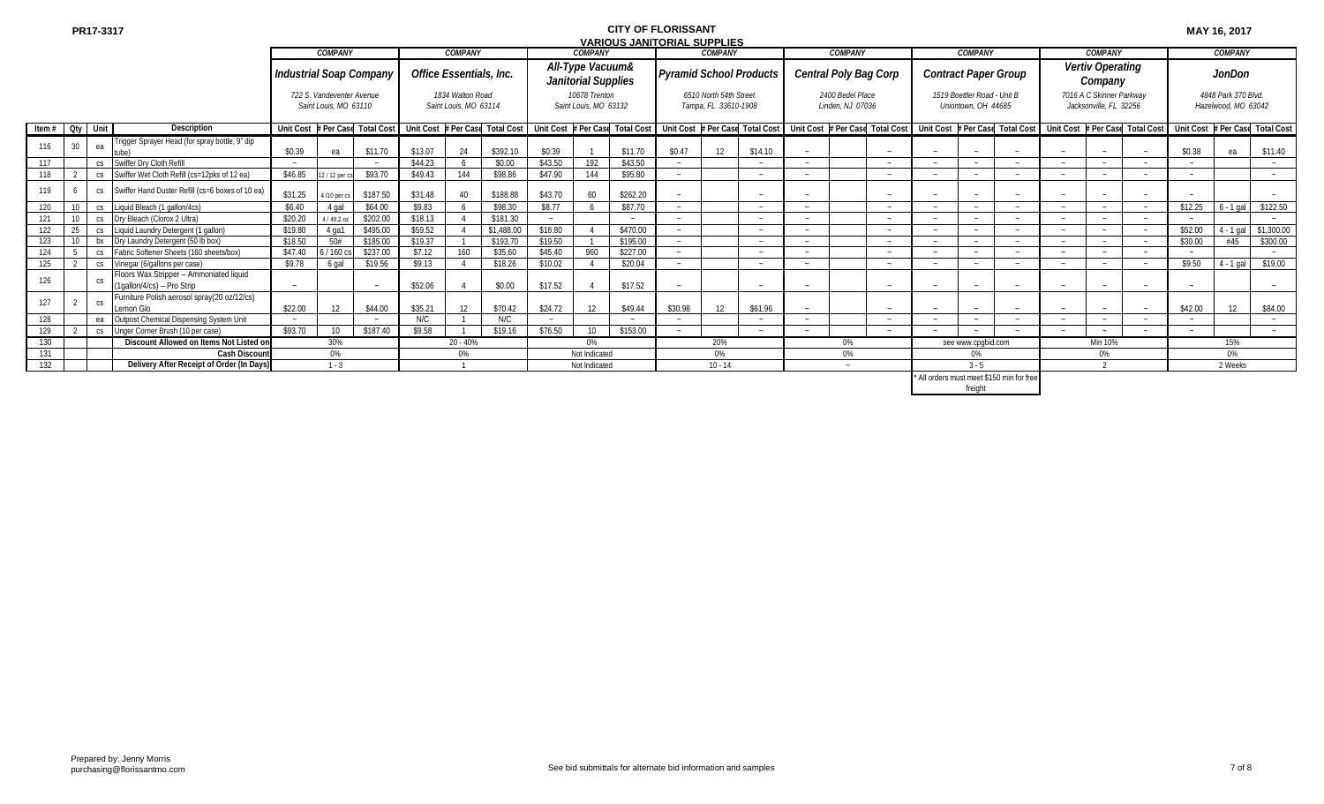|                   |                                     |     |                                                                       |           |                                                    |                                |                         |                                           |            |         |                                         | VARIOUS JANITURIAL SUPPLIES |                                |                                                |         |                                      |                                           |                                                    |         |        |                                                    |                                                                                                                                                                                                                               |         |                                            |            |
|-------------------|-------------------------------------|-----|-----------------------------------------------------------------------|-----------|----------------------------------------------------|--------------------------------|-------------------------|-------------------------------------------|------------|---------|-----------------------------------------|-----------------------------|--------------------------------|------------------------------------------------|---------|--------------------------------------|-------------------------------------------|----------------------------------------------------|---------|--------|----------------------------------------------------|-------------------------------------------------------------------------------------------------------------------------------------------------------------------------------------------------------------------------------|---------|--------------------------------------------|------------|
|                   |                                     |     |                                                                       |           | <b>COMPANY</b>                                     |                                |                         | <b>COMPANY</b>                            |            |         | <b>COMPANY</b>                          |                             |                                | <b>COMPANY</b>                                 |         | <b>COMPANY</b>                       |                                           | <b>COMPANY</b>                                     |         |        | <b>COMPANY</b>                                     |                                                                                                                                                                                                                               |         | <b>COMPANY</b>                             |            |
|                   |                                     |     |                                                                       |           |                                                    | <b>Industrial Soap Company</b> | Office Essentials, Inc. |                                           |            |         | All-Type Vacuum&<br>Janitorial Supplies |                             | <b>Pyramid School Products</b> |                                                |         |                                      | Central Poly Bag Corp                     | Contract Paper Group                               |         |        | Vertiv Operating<br>Company                        |                                                                                                                                                                                                                               |         | JonDon                                     |            |
|                   |                                     |     |                                                                       |           | 722 S. Vandeventer Avenue<br>Saint Louis. MO 63110 |                                |                         | 1834 Walton Road<br>Saint Louis. MO 63114 |            |         | 10678 Trenton<br>Saint Louis. MO 63132  |                             |                                | 6510 North 54th Street<br>Tampa, FL 33610-1908 |         | 2400 Bedel Place<br>Linden. NJ 07036 |                                           | 1519 Boettler Road - Unit B<br>Uniontown, OH 44685 |         |        | 7016 A C Skinner Parkway<br>Jacksonville, FL 32256 |                                                                                                                                                                                                                               |         | 4848 Park 370 Blvd.<br>Hazelwood. MO 63042 |            |
| Item $#$ Qty Unit |                                     |     | <b>Description</b>                                                    |           |                                                    |                                |                         |                                           |            |         |                                         |                             |                                |                                                |         |                                      |                                           |                                                    |         |        |                                                    | Unit Cost #Per Case Total Cost   Unit Cost #Per Case Total Cost   Unit Cost #Per Case Total Cost   Unit Cost #Per Case Total Cost   Unit Cost #Per Case Total Cost   Unit Cost #Per Case Total Cost   Unit Cost #Per Case Tot |         |                                            |            |
|                   | 30 <sup>°</sup>                     | ea  | Trigger Sprayer Head (for spray bottle, 9" dip                        | \$0.39    | ea                                                 | \$11.70                        | \$13.07                 | 24                                        | \$392.10   | \$0.39  |                                         | \$11.70                     | \$0.47                         |                                                | \$14.10 |                                      |                                           |                                                    |         |        |                                                    |                                                                                                                                                                                                                               | \$0.38  | ea                                         | \$11.40    |
| 117               |                                     | CS  | Swiffer Drv Cloth Refill                                              |           |                                                    |                                | \$44.23                 |                                           | \$0.00     | \$43.50 | 192                                     | \$43.50                     |                                |                                                | $\sim$  |                                      |                                           |                                                    |         | $\sim$ |                                                    |                                                                                                                                                                                                                               |         |                                            |            |
| 118               |                                     | CS  | Swiffer Wet Cloth Refill (cs=12pks of 12 ea)                          | \$46.85   | 2/12 per cs                                        | \$93.70                        | \$49.43                 | 144                                       | \$98.86    | \$47.90 | 144                                     | \$95.80                     |                                |                                                | $\sim$  |                                      |                                           |                                                    |         |        |                                                    |                                                                                                                                                                                                                               |         |                                            |            |
| 119               |                                     | CS  | Swiffer Hand Duster Refill (cs=6 boxes of 10 ea)                      | \$31.25   | 4/10 per cs                                        | \$187.50                       | \$31.48                 |                                           | \$188.88   | \$43.70 | 60                                      | \$262.20                    |                                |                                                |         |                                      |                                           |                                                    |         |        |                                                    |                                                                                                                                                                                                                               |         |                                            |            |
| 120               |                                     | CS  | Liquid Bleach (1 gallon/4cs)                                          | \$6.40    | 4 gal                                              | \$64.00                        | \$9.83                  |                                           | \$98.30    | \$8.77  |                                         | \$87.70                     |                                |                                                | $\sim$  |                                      |                                           |                                                    |         |        |                                                    |                                                                                                                                                                                                                               | \$12.25 | $6 - 1$ gal                                | \$122.50   |
|                   |                                     | CS  | Dry Bleach (Clorox 2 Ultra)                                           | \$20.20   | 4/49.2 oz                                          | \$202.00                       | \$18.13                 |                                           | \$181.30   |         |                                         |                             |                                |                                                |         |                                      |                                           |                                                    |         |        |                                                    |                                                                                                                                                                                                                               |         |                                            |            |
| 122               |                                     | CS  | Liquid Laundry Detergent (1 gallon)                                   | \$19.80   | 4 ga1                                              | \$495.00                       | \$59.52                 |                                           | \$1,488.00 | \$18.80 |                                         | \$470.00                    |                                |                                                |         |                                      |                                           |                                                    |         |        |                                                    |                                                                                                                                                                                                                               | \$52.00 | $4 - 1$ gal                                | \$1,300.00 |
| 123               |                                     | bx  | Drv Laundry Detergent (50 lb box)                                     | \$18.50   | 50#                                                | \$185.00                       | \$19.37                 |                                           | \$193.70   | \$19.50 |                                         | \$195.00                    |                                |                                                |         |                                      |                                           |                                                    |         |        |                                                    |                                                                                                                                                                                                                               | \$30.00 | #45                                        | \$300.00   |
| 124               |                                     | CS  | Fabric Softener Sheets (160 sheets/box)                               | \$47.40   | $5/160 \text{ cs}$                                 | \$237.00                       | \$7.12                  | 160                                       | \$35.60    | \$45.40 | 960                                     | \$227.00                    |                                |                                                | $\sim$  |                                      |                                           |                                                    |         | $\sim$ |                                                    |                                                                                                                                                                                                                               |         |                                            |            |
| 125               |                                     | CS  | Vinegar (6/gallons per case)                                          | \$9.78    | 6 gal                                              | \$19.56                        | \$9.13                  |                                           | \$18.26    | \$10.02 |                                         | \$20.04                     |                                |                                                | $\sim$  |                                      |                                           | <b>Section</b>                                     |         | $\sim$ |                                                    |                                                                                                                                                                                                                               | \$9.50  | $4 - 1$ gal                                | \$19.00    |
| 126               |                                     | CS. | Floors Wax Stripper - Ammoniated liquid<br>(1qallon/4/cs) - Pro Strip |           |                                                    |                                | \$52.06                 |                                           | \$0.00     | \$17.52 |                                         | \$17.52                     |                                |                                                |         |                                      |                                           |                                                    |         |        |                                                    |                                                                                                                                                                                                                               |         |                                            |            |
| 127               |                                     | CS. | Furniture Polish aerosol spray(20 oz/12/cs)<br>emon Glo               | \$22.00   | 12                                                 | \$44.00                        | \$35.21                 | 12                                        | \$70.42    | \$24.72 | 12                                      | \$49.44                     | \$30.98                        | 12                                             | \$61.96 |                                      |                                           |                                                    |         |        |                                                    |                                                                                                                                                                                                                               | \$42.00 | 12                                         | \$84.00    |
| 128               |                                     | ea  | Outpost Chemical Dispensing System Unit                               |           |                                                    |                                | N/C                     |                                           | N/C        |         |                                         |                             |                                |                                                | $\sim$  |                                      |                                           |                                                    |         | $\sim$ |                                                    |                                                                                                                                                                                                                               | $\sim$  |                                            |            |
| 129               | cs Unger Corner Brush (10 per case) |     |                                                                       |           | 10 <sup>°</sup>                                    | \$187.40                       | \$9.58                  |                                           | \$19.16    | \$76.50 | 10                                      | \$153.00                    |                                |                                                | $\sim$  |                                      | $\sim$                                    |                                                    |         | $\sim$ |                                                    |                                                                                                                                                                                                                               | $\sim$  |                                            |            |
| 130               |                                     |     | Discount Allowed on Items Not Listed on                               |           |                                                    | $20 - 40%$                     |                         |                                           | 0%         |         |                                         | 20%                         |                                | $0\%$                                          |         | see www.cpgbid.com                   |                                           |                                                    | Min 10% |        |                                                    | 15%                                                                                                                                                                                                                           |         |                                            |            |
| 131               |                                     |     | <b>Cash Discoun</b>                                                   | 30%<br>0% |                                                    |                                |                         | 0%                                        |            |         | Not Indicated                           |                             |                                | 0%                                             |         | 0%                                   |                                           | 0%                                                 |         |        | 0%                                                 |                                                                                                                                                                                                                               |         | 0%                                         |            |
| 132               |                                     |     | Delivery After Receipt of Order (In Days)                             | $1 - 3$   |                                                    |                                |                         |                                           |            |         | Not Indicated                           |                             |                                | $10 - 14$                                      |         | $\sim$                               |                                           | $3 - 5$                                            |         |        |                                                    |                                                                                                                                                                                                                               |         | 2 Weeks                                    |            |
|                   |                                     |     |                                                                       |           |                                                    |                                |                         |                                           |            |         |                                         |                             |                                |                                                |         |                                      | * All orders must meet \$150 min for free |                                                    |         |        |                                                    |                                                                                                                                                                                                                               |         |                                            |            |

\* All orders must meet \$150 min for free

freight